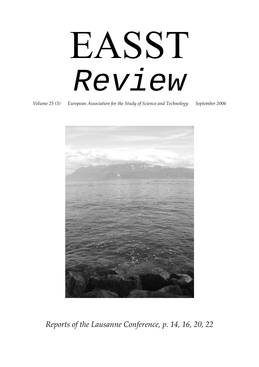# EASST *Review*

*Volume 25 (3) European Association for the Study of Science and Technology September 2006*



*Reports of the Lausanne Conference, p. 14, 16, 20, 22*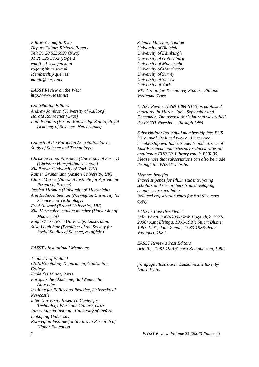*Editor: Chunglin Kwa Deputy Editor: Richard Rogers Tel: 31 20 5256593 (Kwa) 31 20 525 3352 (Rogers) email:c.l. kwa@uva.nl rogers@hum.uva.nl Membership queries: admin@easst.net* 

*EASST Review on the Web: http://www.easst.net* 

*Contributing Editors: Andrew Jamison (University of Aalborg) Harald Rohracher (Graz) Paul Wouters (Virtual Knowledge Studio, Royal Academy of Sciences, Netherlands)* 

*Council of the European Association for the Study of Science and Technology:* 

*Christine Hine, President (University of Surrey) (Christine.Hine@btinternet.com) Nik Brown (University of York, UK) Rainer Grundmann (Anston University, UK) Claire Marris (National Institute for Agronomic Research, France) Jessica Mesman (University of Maastricht) Ann Rudinow Sætnan (Norwegian University for Science and Technology) Fred Steward (Brunel University, UK) Niki Vermeulen, student member (University of Maastricht) Ragna Zeiss (Free University, Amsterdam) Susa Leigh Star (President of the Society for Social Studies of Science, ex-officio)* 

#### *EASST's Institutional Members:*

*Academy of Finland CSISP/Sociology Department, Goldsmiths College Ecole des Mines, Paris Europäische Akademie, Bad Neuenahr- Ahrweiler Institute for Policy and Practice, University of Newcastle Inter-University Research Center for Technology,Work and Culture, Graz James Martin Institute, University of Oxford Linköping University Norwegian Institute for Studies in Research of Higher Education* 

*Science Museum, London University of Bielefeld University of Edinburgh University of Gothenburg University of Maastricht University of Manchester University of Surrey University of Sussex University of York VTT Group for Technology Studies, Finland Wellcome Trust* 

*EASST Review (ISSN 1384-5160) is published quarterly, in March, June, September and December. The Association's journal was called the EASST Newsletter through 1994.* 

*Subscription: Individual membership fee: EUR 35 annual. Reduced two- and three-year membership available. Students and citizens of East European countries pay reduced rates on applicaton EUR 20. Library rate is EUR 35. Please note that subscriptions can also be made through the EASST website.* 

#### *Member benefits*

*Travel stipends for Ph.D. students, young scholars and researchers from developing countries are available. Reduced registration rates for EASST events apply.* 

#### *EASST's Past Presidents:*

*Sally Wyatt, 2000-2004; Rob Hagendijk, 1997- 2000; Aant Elzinga, 1991-1997; Stuart Blume, 1987-1991; John Ziman, 1983-1986;Peter Weingart, 1982.* 

*EASST Review's Past Editors Arie Rip, 1982-1991;Georg Kamphausen, 1982.* 

*frontpage illustration: Lausanne,the lake, by Laura Watts.*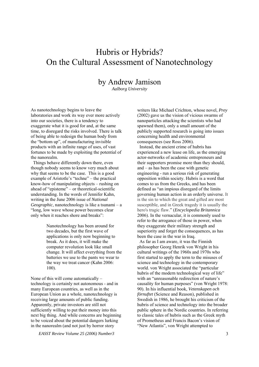# Hubris or Hybrids? On the Cultural Assessment of Nanotechnology

### by Andrew Jamison

*Aalborg University* 

As nanotechnology begins to leave the laboratories and work its way ever more actively into our societies, there is a tendency to exaggerate what it is good for and, at the same time, to disregard the risks involved. There is talk of being able to redesign the human body from the "bottom up", of manufacturing invisible products with an infinite range of uses, of vast fortunes to be made by exploiting the potential of the nanorealm.

 Things behave differently down there, even though nobody seems to know very much about why that seems to be the case. This is a good example of Aristotle's "techne" – the practical know-how of manipulating objects – rushing on ahead of "episteme" – or theoretical-scientific understanding. In the words of Jennifer Kahn, writing in the June 2006 issue of *National Geographic*, nanotechnology is like a tsunami – a "long, low wave whose power becomes clear only when it reaches shore and breaks":

> Nanotechnology has been around for two decades, but the first wave of applications is only now beginning to break. As it does, it will make the computer revolution look like small change. It will affect everything from the batteries we use to the pants we wear to the way we treat cancer (Kahn 2006: 100).

None of this will come automatically – technology is certainly not autonomous - and in many European countries, as well as in the European Union as a whole, nanotechnology is receiving large amounts of public funding. Apparently, private investors are still not sufficiently willing to put their money into this next big thing. And while concerns are beginning to be voiced about the potential dangers lurking in the nanorealm (and not just by horror story

*EASST Review Volume 25 (2006) Number3* 3

writers like Michael Crichton, whose novel, *Prey* (2002) gave us the vision of vicious swarms of nanoparticles attacking the scientists who had spawned them), only a small amount of the publicly supported research is going into issues concerning health and environmental consequences (see Ross 2006).

 Instead, the ancient crime of hubris has experienced a new lease on life, as the emerging actor-networks of academic entrepreneurs and their supporters promise more than they should, and – as has been the case with genetic engineering - run a serious risk of generating opposition within society. Hubris is a word that comes to us from the Greeks, and has been defined as "an impious disregard of the limits governing human action in an orderly universe. It is the sin to which the great and gifted are most susceptible, and in Greek tragedy it is usually the hero's tragic flaw." (*Encyclopedia Britannica* 2006). In the vernacular, it is commonly used to refer to the arrogance of those in power, when they exaggerate their military strength and superiority and forget the consequences, as has been the case in the war in Iraq.

 As far as I am aware, it was the Finnish philosopher Georg Henrik von Wright in his cultural writings of the 1960s and 1970s who first started to apply the term to the misuses of science and technology in the contemporary world. von Wright associated the "particular hubris of the modern technological way of life" with an "unreasonable redirection of nature's causality for human purposes" (von Wright 1978: 90). In his influential book, *Vetenskapen och förnuftet* (Science and Reason), published in Swedish in 1986, he brought his criticism of the hubris of science and technology into the broader public sphere in the Nordic countries. In referring to classic tales of hubris such as the Greek myth of Prometheus and Francis Bacon's vision of "New Atlantis", von Wright attempted to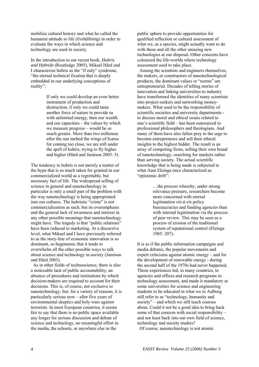mobilize cultural history and what he called the humanist attitude to life (*livshållning*) in order to evaluate the ways in which science and technology are used in society.

In the introduction to our recent book, *Hubris and Hybrids* (Routledge 2005), Mikael Hård and I characterize hubris as the "if only" syndrome, "the eternal technical fixation that is deeply embedded in our underlying conceptions of reality":

> If only we could develop an even better instrument of production and destruction, if only we could tame another force of nature to provide us with unlimited energy, then our wealth and our capacities – the values by which we measure progress – would be so much greater. More than two millennia after the sun melted the wings of Icarus for coming too close, we are still under the spell of hubris, trying to fly higher and higher (Hård and Jamison 2005: 5).

The tendency to hubris is not merely a matter of the hype that is so much taken for granted in our commercialized world as a regrettable, but necessary fact of life. The widespread selling of science in general and nanotechnology in particular is only a small part of the problem with the way nanotechnology is being appropriated into our cultures. The hubristic "crime" is not commercialization as such, but its overemphasis and the general lack of awareness and interest in any other possible meanings that nanotechnology might have. The tragedy is that "public relations" have been reduced to marketing. At a discursive level, what Mikael and I have previously referred to as the story-line of economic innovation is so dominant, so hegemonic that it tends to overwhelm all the other possible ways to talk about science and technology in society (Jamison and Hård 2003).

 As in other fields of technoscience, there is also a noticeable lack of public accountability, an absence of procedures and institutions by which decision-makers are required to account for their decisions. This is, of course, not exclusive to nanotechnology, but, for a variety of reasons, it is particularly serious now – after five years of environmental skeptics and holy wars against terrorists. In most European countries, it seems fair to say that there is no public space available any longer for serious discussion and debate of science and technology, no meaningful effort in the media, the schools, or anywhere else in the

public sphere to provide opportunities for qualified reflection or cultural assessment of what we, as a species, might actually want to do with these and all the other amazing new technologies at our disposal. Other concerns have colonized the life-worlds where technology assessment used to take place.

 Among the scientists and engineers themselves, the makers, or constructors of nanotechnological products, the dominant values or "norms" are entrepreneurial. Decades of telling stories of innovation and linking universities to industry have transformed the identities of many scientists into project-seekers and networking moneymakers. What used to be the responsibility of scientific societies and university departments to discuss moral and ethical issues related to one's scientific field – has been outsourced to professional philosophers and theologians. And many of them have also fallen prey to the urge to become entrepreneurs and sell their ethical insights to the highest bidder. The result is an array of competing firms, selling their own brand of nanotechnology, searching for markets rather than serving society. The actual scientific knowledge that is being made is subjected to what Aant Elzinga once characterized as "epistemic drift":

> …the process whereby, under strong relevance pressure, researchers become more concerned with eternal legitimation *vis-à-vis* policy bureaucracies and funding agencies than with internal legitimation via the process of peer review. This may be seen as a process of erosion of the traditional system of reputational control (Elzinga 1985: 207).

It is as if the public information campaigns and media debates, the popular movements and expert criticisms against atomic energy – and for the development of renewable energy - during the second half of the 1970s had never happened. Those experiences led, in many countries, to agencies and offices and research programs in technology assessment, and made it mandatory at some universities for science and engineering students to be educated in what we in Aalborg still refer to as "technology, humanity and society" – and which we still teach courses about. Could it not be a good idea to bring back some of that concern with social responsibility – and not least back into our own field of science, technology and society studies?

Of course, nanotechnology is not atomic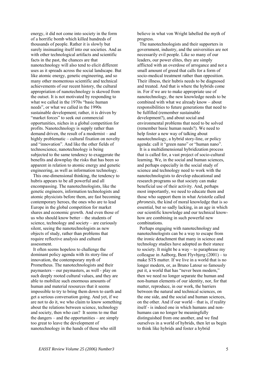energy, it did not come into society in the form of a horrific bomb which killed hundreds of thousands of people. Rather it is slowly but surely insinuating itself into our societies. And as with other technological artifacts and scientific facts in the past, the chances are that nanotechnology will also tend to elicit different uses as it spreads across the social landscape. But like atomic energy, genetic engineering, and so many other momentous scientific and technical achievements of our recent history, the cultural appropriation of nanotechnology is skewed from the outset. It is not motivated by responding to what we called in the 1970s "basic human needs", or what we called in the 1990s sustainable development; rather, it is driven by "market forces" to seek out commercial opportunities, niches in a global competition for profits. Nanotechnology is supply rather than demand driven, the result of a modernist – and highly problematic – cultural fixation on novelty and "innovation". And like the other fields of technoscience, nanotechnology is being subjected to the same tendency to exaggerate the benefits and downplay the risks that has been so apparent in relation to atomic energy and genetic engineering, as well as information technology.

 This one-dimensional thinking, the tendency to hubris appears to be all powerful and all encompassing. The nanotechnologists, like the genetic engineers, information technologists and atomic physicists before them, are fast becoming contemporary heroes, the ones who are to lead Europe in the global competition for market shares and economic growth. And even those of us who should know better – the students of science, technology and society – are curiously silent, seeing the nanotechnologists as new objects of study, rather than problems that require reflective analysis and cultural assessment.

 It often seems hopeless to challenge the dominant policy agenda with its story-line of innovation, the contemporary myth of Prometheus. The nanotechnologists and their paymasters – our paymasters, as well - play on such deeply rooted cultural values, and they are able to mobilize such enormous amounts of human and material resources that it seems impossible to try to bring them down to earth and get a serious conversation going. And yet, if we are not to do it, we who claim to know something about the relations between science, technology and society, then who can? It seems to me that the dangers – and the opportunities – are simply too great to leave the development of nanotechnology in the hands of those who still

believe in what von Wright labelled the myth of progress.

 The nanotechnologists and their supporters in government, industry, and the universities are not necessarily evil people. Like so many of our leaders, our power elites, they are simply afflicted with an overdose of arrogance and not a small amount of greed that calls for a form of socio-medical treatment rather than opposition. Their illness, their hubris needs to be diagnosed and treated. And that is where the hybrids come in. For if we are to make appropriate use of nanotechnology, the new knowledge needs to be combined with what we already know – about responsibilities to future generations that need to be fulfilled (remember sustainable development?), and about social and environmental problems that need to be solved (remember basic human needs?). We need to help foster a new way of talking about nanotechnology, a hybrid story-line, or policy agenda: call it "green nano" or "human nano".

 It is a multidimensional hybridization process that is called for, a vast project of socio-cultural learning. We, in the social and human sciences, and perhaps especially in the social study of science and technology need to work with the nanotechnologists to develop educational and research programs so that society can make beneficial use of their activity. And, perhaps most importantly, we need to educate them and those who support them in what Aristotle called *phronesis*, the kind of moral knowledge that is so essential, but so sadly lacking, in an age in which our scientific knowledge and our technical knowhow are combining in such powerful new combinations.

 Perhaps engaging with nanotechnology and nanotechnologists can be a way to escape from the ironic detachment that many in science and technology studies have adopted as their stance to society. It might be a way – to paraphrase my colleague in Aalborg, Bent Flyvbjerg (2001) – to make STS matter. If we live in a world that is no longer modern, or, as Bruno Latour so famously put it, a world that has "never been modern," then we need no longer separate the human and non-human elements of our identity, nor, for that matter, reproduce, in our work, the barriers between the natural and technical sciences, on the one side, and the social and human sciences, on the other. And if our world – that is, if reality itself - is indeed one in which humans and nonhumans can no longer be meaningfully distinguished from one another, and we find ourselves in a world of hybrids, then let us begin to think like hybrids and foster a hybrid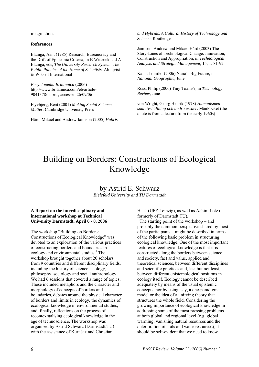imagination.

#### **References**

Elzinga, Aant (1985) Research, Bureaucracy and the Drift of Epistemic Criteria, in B Wittrock and A Elzinga, eds, *The University Research System. The Public Policies of the Home of Scientists.* Almqvist & Wiksell International

*Encyclopedia Britannica* (2006) http://www.britannica.com/eb/article-9041378/hubris, accessed 26/09/06

Flyvbjerg, Bent (2001) *Making Social Science Matter*. Cambridge University Press

Hård, Mikael and Andrew Jamison (2005) *Hubris* 

*and Hybrids. A Cultural History of Technology and Science.* Routledge

Jamison, Andrew and Mikael Hård (2003) The Story-Lines of Technological Change: Innovation, Construction and Appropriation, in *Technological Analysis and Strategic Management*, 15, 1: 81-92

Kahn, Jennifer (2006) Nano's Big Future, in *National Geographic*, June

Ross, Philip (2006) Tiny Toxins?, in *Technology Review*, June

von Wright, Georg Henrik (1978) *Humanismen som livshållning och andra essäer*. MånPocket (the quote is from a lecture from the early 1960s)

# Building on Borders: Constructions of Ecological Knowledge

by Astrid E. Schwarz *Bielefeld University and TU Darmstadt* 

### **A Report on the interdisciplinary and international workshop at Technical University Darmstadt, April 6 - 8, 2006**

The workshop "Building on Borders: Constructions of Ecological Knowledge" was devoted to an exploration of the various practices of constructing borders and boundaries in ecology and environmental studies.<sup>1</sup> The workshop brought together about 20 scholars from 9 countries and different disciplinary fields, including the history of science, ecology, philosophy, sociology and social anthropology. We had 6 sessions that covered a range of topics. These included metaphors and the character and morphology of concepts of borders and boundaries, debates around the physical character of borders and limits in ecology, the dynamics of ecological knowledge in environmental studies, and, finally, reflections on the process of recontextualising ecological knowledge in the age of technoscience. The workshop was organised by Astrid Schwarz (Darmstadt TU) with the assistance of Kurt Jax and Christian

Haak (UFZ Leipzig), as well as Achim Lotz ( formerly of Darmstadt TU).

 The starting point of the workshop – and probably the common perspective shared by most of the participants – might be described in terms of the following basic problem in structuring ecological knowledge. One of the most important features of ecological knowledge is that it is constructed along the borders between science and society, fact and value, applied and theoretical sciences, between different disciplines and scientific practices and, last but not least, between different epistemological positions in ecology itself. Ecology cannot be described adequately by means of the usual epistemic concepts, nor by using, say, a one-paradigm model or the idea of a unifying theory that structures the whole field. Considering the growing importance of ecological knowledge in addressing some of the most pressing problems at both global and regional level (e.g. global warming, vanishing natural resources and the deterioration of soils and water resources), it should be self-evident that we need to know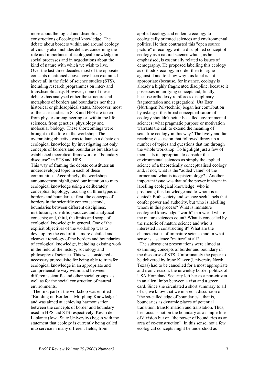more about the logical and disciplinary constructions of ecological knowledge. The debate about borders within and around ecology obviously also includes debates concerning the role and importance of ecological knowledge in social processes and in negotiations about the kind of nature with which we wish to live. Over the last three decades most of the opposite concepts mentioned above have been examined above all in the field of science studies (STS), including research programmes on inter- and transdisciplinarity. However, none of these debates has analysed either the structure and metaphors of borders and boundaries nor their historical or philosophical status. Moreover, most of the case studies in STS and HPS are taken from physics or engineering or, within the life sciences, from genetics, physiology and molecular biology. These shortcomings were brought to the fore in the workshop: The overarching objective was to launch a debate on ecological knowledge by investigating not only concepts of borders and boundaries but also the established theoretical framework of "boundary discourse" in STS and HPS. This way of framing the debate constitutes an underdeveloped topic in each of these

communities. Accordingly, the workshop announcement highlighted our intention to map ecological knowledge using a deliberately conceptual topology, focusing on three types of borders and boundaries: first, the concepts of borders in the scientific context; second, boundaries between different disciplines, institutions, scientific practices and analytical concepts; and, third, the limits and scope of ecological knowledge in general. One of the explicit objectives of the workshop was to develop, by the end of it, a more detailed and clear-cut topology of the borders and boundaries of ecological knowledge, including existing work in the field of the history, sociology and philosophy of science. This was considered a necessary prerequisite for being able to transfer ecological knowledge in an appropriate and comprehensible way within and between different scientific and other social groups, as well as for the social construction of natural environments.

 The first part of the workshop was entitled "Building on Borders - Morphing Knowledge" and was aimed at achieving harmonisation between the concepts of border and boundary used in HPS and STS respectively. Kevin de Laplante (Iowa State University) began with the statement that ecology is currently being called into service in many different fields, from

applied ecology and endemic ecology to ecologically oriented sciences and environmental politics. He then contrasted this "open source picture" of ecology with a disciplined concept of ecology as a natural science which, as he emphasised, is essentially related to issues of demography. He proposed labelling this ecology as orthodox ecology in order then to argue against it and to show why this label is not appropriate (because, for instance, ecology is already a highly fragmented discipline, because it possesses no unifying concept and, finally, because orthodoxy reinforces disciplinary fragmentation and segregation). Uta Eser (Nürtingen Polytechnic) began her contribution by asking if this broad conceptualisation of ecology shouldn't better be called environmental sciences: what pragmatic purpose or motivation warrants the call to extend the meaning of scientific ecology in this way? The lively and farreaching discussion that followed threw up a number of topics and questions that ran through the whole workshop. To highlight just a few of them: - Is it appropriate to consider the environmental sciences as simply the applied science of a theoretically conceptualised ecology and, if not, what is the "added value" of the former and what is its epistemology? - Another important issue was that of the power inherent in labelling ecological knowledge: who is producing this knowledge and to whom is it denied? Both society and science seek labels that confer power and authority, but who is labelling whom in this process? What is immature ecological knowledge "worth" in a world where the mature sciences count? What is concealed by the rhetoric of mature science and who is interested in constructing it? What are the characteristics of immature science and in what sense is a science "mature" at all?

 The subsequent presentations were aimed at examining concepts of border and boundary in the discourse of STS. Unfortunately the paper to be delivered by Irene Klaver (University North Texas) had to be cancelled for a most appropriate and ironic reason: the unwieldy border politics of USA Homeland Security left her as a non-citizen in an alien limbo between a visa and a green card. Since she circulated a short summary to all of us, we know that we missed a discussion on "the so-called edge of boundaries", that is, boundaries as dynamic places of potential transition, transformation and translation. Thus, her focus is not on the boundary as a simple line of division but on "the power of boundaries as an area of co-construction". In this sense, not a few ecological concepts might be understood as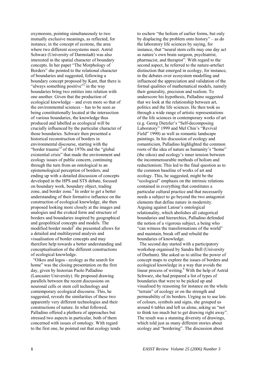oxymorons, pointing simultaneously to two mutually exclusive meanings, as reflected, for instance, in the concept of ecotone, the area where two different ecosystems meet. Astrid Schwarz (University of Darmstadt) was also interested in the spatial character of boundary concepts. In her paper "The Morphology of Borders" she pointed to the relational character of boundaries and suggested, following a boundary concept proposed by Kant, that there is "always something positive"<sup>2</sup> in the way boundaries bring two entities into relation with one another. Given that the production of ecological knowledge – and even more so that of the environmental sciences – has to be seen as being constitutionally located at the intersection of various boundaries, the knowledge thus produced and labelled as ecological will be crucially influenced by the particular character of those boundaries. Schwarz then presented a historical reconstruction of borders in environmental discourse, starting with the "border trauma"3 of the 1970s and the "global existential crisis" that made the environment and ecology issues of public concern, continuing through the turn from an ontological to an epistemological perception of borders, and ending up with a detailed discussion of concepts developed in the HPS and STS debate, focused on boundary work, boundary object, trading zone, and border zone.<sup>4</sup> In order to get a better understanding of their formative influence on the construction of ecological knowledge, she then proposed looking more closely at the images and analogies and the evoked form and structure of borders and boundaries inspired by geographical and geopolitical concepts and models. The modified border model<sup>5</sup> she presented allows for a detailed and multilayered analysis and visualisation of border concepts and may therefore help towards a better understanding and conceptualisation of the different constructions of ecological knowledge.

 "Oikos and logos - ecology as the search for home" was the closing presentation on the first day, given by historian Paolo Palladino (Lancaster University). He proposed drawing parallels between the recent discussions on neuronal cells or stem cell technology and contemporary ecological discourse. This, he suggested, reveals the similarities of these two apparently very different technologies and their constructions of nature. In what followed, Palladino offered a plethora of approaches but stressed two aspects in particular, both of them concerned with issues of ontology. With regard to the first one, he pointed out that ecology tends

to eschew "the holism of earlier forms, but only by displacing the problem onto history" – as do the laboratory life sciences by saying, for instance, that "neural stem cells may one day act as nature's own brain surgeon, psychiatrist, pharmacist, and therapist". With regard to the second aspect, he referred to the nature-artefact distinction that emerged in ecology, for instance, in the debates over ecosystem modelling and influenced the appreciation and validation of the formal qualities of mathematical models, namely their generality, precision and realism. To underscore his hypothesis, Palladino suggested that we look at the relationship between art, politics and the life sciences. He then took us through a wide range of artistic representations of the life sciences in contemporary works of art (e.g. Georg Dietzler's "Self-decomposing Laboratory" 1999 and Mel Chin's "Revival Field" 1990) as well as romantic landscape paintings. In his discussion of ecology and romanticism, Palladino highlighted the common roots of the idea of nature as humanity's "home" (the oikos) and ecology's inner tension between the incommensurable methods of holism and reductionism; This led to the final question as to the common baseline of works of art and ecology. This, he suggested, might be the "ecological" emphasis on the intrinsic relations contained in everything that constitutes a particular cultural practice and that necessarily needs a subject to go beyond the two antagonist elements that define nature in modernity. Arguing against Latour's ontological relationality, which abolishes all categorical boundaries and hierarchies, Palladino defended the notion of a vigorous subject, a being who "can witness the transformations of the world" and maintain, break off and rebuild the boundaries of knowledge.

 The second day started with a participatory workshop organised by Sandra Bell (University of Durham). She asked us to utilise the power of concept maps to explore the issues of borders and ecological knowledge in a way that avoids the linear process of writing.<sup>6</sup> With the help of Astrid Schwarz, she had prepared a list of types of boundaries that were to be picked up and visualised by reasoning for instance on the whole "terrain" of ecology or on the strength and permeability of its borders. Urging us to use lots of colours, symbols and signs, she grouped us around 6 tables and left us alone, asking us "not to think too much but to get drawing right away". The result was a stunning diversity of drawings, which told just as many different stories about ecology and "bordering". The discussion about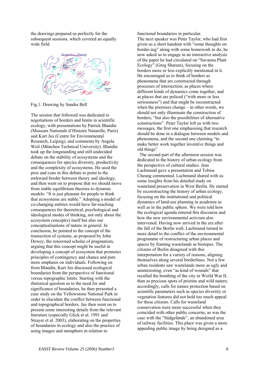the drawings prepared us perfectly for the subsequent sessions, which covered an equally wide field.



Fig.1: Drawing by Sandra Bell

The session that followed was dedicated to negotiations of borders and limits in scientific ecology, with presentations by Patrick Blandin (Museum Nationale d'Histoire Naturelle, Paris) and Kurt Jax (Centre for Environmental Research, Leipzig), and comments by Angela Weil (München Technical University). Blandin took up the longstanding and still undecided debate on the stability of ecosystems and the consequences for species diversity, productivity and the complexity of ecosystems. He used the pros and cons in this debate to point to the awkward border between theory and ideology, and then went on to propose that we should move from stable equilibrium theories to dynamic models: "It is just pleasant for people to think that ecosystems are stable." Adopting a model of co-changing entities would have far-reaching consequences for theoretical, psychological and ideological modes of thinking, not only about the ecosystem concept(s) itself but also our conceptualisations of nature in general. In conclusion, he pointed to the concept of the transection of systems, as proposed by John Dewey, the renowned scholar of pragmatism, arguing that this concept might be useful in developing a concept of ecosystem that promotes principles of contingency and chance and puts more emphasis on individuals. Following on from Blandin, Kurt Jax discussed ecological boundaries from the perspective of functional versus topographic limits. Starting with the rhetorical question as to the need for and significance of boundaries, he then presented a case study on the Yellowstone National Park in order to elucidate the conflict between functional and topographical borders. Jax then went on to present some interesting details from the relevant literature (especially Glick et al. 1991 and Strayer et al. 2003), elaborating on the properties of boundaries in ecology and also the practice of using images and metaphors in relation to

functional boundaries in particular. The next speaker was Peter Taylor, who had first given us a short handout with "some thoughts on border-ing" along with some homework to do; he now asked us to engage in an interactive analysis of the paper he had circulated on "Savanna Plant Ecology" (Greg Sharam), focusing on the borders more or less explicitly mentioned in it. He encouraged us to think of borders as phenomena that are constructed through processes of intersection, as places where different kinds of dynamics come together, and as places that are policed ("with more or less seriousness") and that might be reconstructed when the premises change – in other words, we should not only illuminate the construction of borders, "but also the possibilities of alternative constructions". Peter Taylor left us with two messages, the first one emphasising that research should be done in a dialogue between models and phenomena, and the second one claiming "to make better work together inventive things and old things".

 The second part of the afternoon session was dedicated to the history of urban ecology from the perspective of cultural studies. Jens Lachmund gave a presentation and Tobias Cheung commented. Lachmund shared with us some insights from his detailed study on wasteland preservation in West Berlin. He started by reconstructing the history of urban ecology, focusing on the institutional and political dynamics of land-use planning in academia as well as in the public sphere. We were told how the ecological agenda entered this discourse and how the new environmental activism also intervened. Having now arrived in the era after the fall of the Berlin wall, Lachmund turned in more detail to the conflict of the environmental programme of restructuring urban places and spaces by framing wastelands as biotopes. The citizens of Berlin disagreed with this interpretation for a variety of reasons, aligning themselves along several borderlines. Not a few urban residents saw wastelands more as ugly and uninteresting, even "as kind of wounds" that recalled the bombing of the city in World War II, than as precious spots of pristine and wild nature; accordingly, calls for nature protection based on scientific parameters such as species diversity or vegetation features did not hold too much appeal for these citizens. Calls for wasteland conservation were more successful when they coincided with other public concerns, as was the case with the "Südgelände", an abandoned area of railway facilities. This place was given a more appealing public image by being designed as a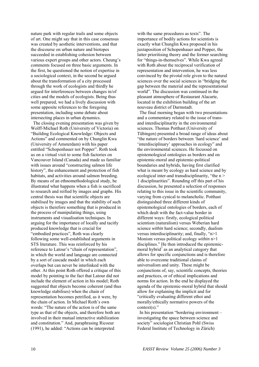nature park with regular trails and some objects of art. One might say that in this case consensus was created by aesthetic interventions, and that the discourse on urban nature and biotopes succeeded in establishing cohesion between various expert groups and other actors. Cheung's comments focused on three basic arguments. In the first, he questioned the notion of expertise in a sociological context, in the second he argued about the transformation of a city processed through the work of ecologists and thirdly he argued for interferences between changes in/of cities and the models of ecologists. Being thus well prepared, we had a lively discussion with some apposite references to the foregoing presentation, including some debate about intersecting places in urban dynamics.

 The closing evening presentation was given by Wolff-Michael Roth (University of Victoria) on "Building Ecological Knowledge: Objects and Actions" and commented on by Chunglin Kwa (University of Amsterdam) with his paper entitled "Schopenhauer not Popper". Roth took us on a virtual visit to some fish factories on Vancouver Island (Canada) and made us familiar with issues around "constructing salmon life" history", the enhancement and protection of fish habitats, and activities around salmon breeding. By means of an ethnomethodological study, he illustrated what happens when a fish is sacrificed to research and reified by images and graphs. His central thesis was that scientific objects are stabilised by images and that the stability of such objects is therefore something that is produced in the process of manipulating things, using instruments and visualisation techniques. In arguing for the importance of locally and tacitly produced knowledge that is crucial for "embodied practices", Roth was clearly following some well-established arguments in STS literature. This was reinforced by his reference to Latour's "chain of representation", in which the world and language are connected by a sort of cascade model in which each overlaps but can never be interlinked with the other. At this point Roth offered a critique of this model by pointing to the fact that Latour did not include the element of action in his model; Roth suggested that objects become coherent (and thus knowledge stabilises) when the chain of representation becomes petrified, as it were, by the chain of action. In Michael Roth's own words: "The nature of the action is of the same type as that of the objects, and therefore both are involved in their mutual interactive stabilization and constitution." And, paraphrasing Ricoeur (1991), he added: "Actions can be interpreted

with the same procedures as texts". The importance of bodily actions for scientists is exactly what Chunglin Kwa proposed in his juxtaposition of Schopenhauer and Popper, the latter prioritising theory and the former searching for "things-in-themselves". While Kwa agreed with Roth about the reciprocal verification of representation and intervention, he was less convinced by the pivotal role given to the natural sciences over the social sciences in "bridging the gap between the material and the representational world". The discussion was continued in the pleasant atmosphere of Restaurant Alacarte, located in the exhibition building of the art nouveau district of Darmstadt.

 The final morning began with two presentations and a commentary related to the issue of transand interdisciplinarity in the environmental sciences. Thomas Potthast (University of Tübingen) presented a broad range of ideas about "the nature of borders between 'hard science' and 'interdisciplinary' approaches in ecology" and the environmental sciences. He focussed on epistemological ontologies as borders and on epistemic-moral and epistemic-political boundaries and hybrids, having first clarified what is meant by ecology as hard science and by ecological inter-and transdisciplinarity, "the n > 1 disciplinarities". Rounding off this part of his discussion, he presented a selection of responses relating to this issue in the scientific community, varying from cynical to melancholic. Potthast distinguished three different kinds of epistemological ontologies of borders, each of which dealt with the fact-value border in different ways: firstly, ecological political scientism (naturalism) versus Weberian hard science *within* hard science; secondly, dualism versus interdisciplinarity; and, finally, "n>1 Monism versus political ecology *within* n>1 disciplines." He then introduced the epistemicmoral hybrid<sup>7</sup> as an analytical category that allows for specific conjunctions and is therefore able to overcome traditional claims of universalism and unity. These might be conjunctions of, say, scientific concepts, theories and practices, or of ethical implications and norms for action. In the end he displayed the agenda of the epistemic-moral hybrid that should allow for explaining the implicit and for "critically evaluating different ethoi and morally/ethically normative powers of the context(s)."

 In his presentation "bordering environment – investigating the space between science and society" sociologist Christian Pohl (Swiss Federal Institute of Technology in Zürich)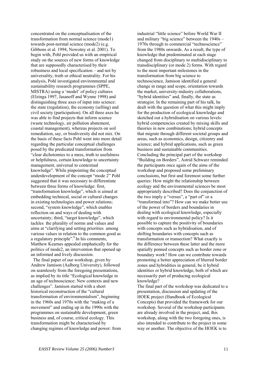concentrated on the conceptualisation of the transformation from normal science (mode1) towards post-normal science (mode2) (e.g. Gibbons et al. 1994, Nowotny et al. 2001). To begin with, Pohl provided us with an empirical study on the sources of new forms of knowledge that are supposedly characterised by their robustness and local specification – and not by universality, truth or ethical neutrality. For his analysis, Pohl investigated environmental and sustainability research programmes (SPPE, MISTRA) using a 'model' of policy cultures (Elzinga 1997, Jasanoff and Wynne 1998) and distinguishing three axes of input into science: the state (regulation), the economy (selling) and civil society (participation). On all three axes he was able to find projects that inform science (waste technology, air pollution abatement, coastal management), whereas projects on soil remediation, say, or biodiversity did not mix. On the basis of these facts Pohl went into more detail regarding the particular conceptual challenges posed by the predicated transformation from "clear dichotomies to a mess, truth to usefulness or helpfulness, certain knowledge to uncertainty management, universal to contextual knowledge". While pinpointing the conceptual underdevelopment of the concept "mode 2" Pohl suggested that it was necessary to differentiate between three forms of knowledge: first, "transformation knowledge", which is aimed at embedding technical, social or cultural changes in existing technologies and power relations; second, "system knowledge", which enables reflection on and ways of dealing with uncertainty; third, "target knowledge", which tackles the plurality of norms and values and aims at "clarifying and setting priorities among various values in relation to the common good as a regulatory principle".<sup>8</sup> In his comments, Matthew Kearnes appealed emphatically for the politics of mode2, an intervention that opened up an informed and lively discussion.

 The final paper of our workshop, given by Andrew Jamison (Aalborg University), followed on seamlessly from the foregoing presentations, as implied by its title "Ecological knowledge in an age of technoscience: New contexts and new challenges". Jamison started with a short historical reconstruction of the "cultural transformation of environmentalism", beginning in the 1960s and 1970s with the "making of a movement" and ending up in the 1990s with the programmes on sustainable development, green business and, of course, critical ecology. This transformation might be characterised by changing regimes of knowledge and power: from industrial "little science" before World War II and military "big science" between the 1940s – 1970s through to commercial "technoscience" from the 1980s onwards. As a result, the type of knowledge that predominated at each stage changed from disciplinary to multidisciplinary to transdisciplinary (or mode 2) forms. With regard to the most important milestones in the transformation from big science to technoscience, Jamison identified a general change in range and scope, orientation towards the market, university-industry collaborations, "hybrid identities" and, finally, the state as strategist. In the remaining part of his talk, he dealt with the question of what this might imply for the production of ecological knowledge and sketched out a hybridisation on various levels: hybrid competencies created by mixing skills and theories in new combinations; hybrid concepts that migrate through different societal groups and areas, such as economics, design, citizenry and science; and hybrid applications, such as green business and sustainable communities. Concluding the principal part of the workshop "Building on Borders", Astrid Schwarz reminded the participants once again of the aims of the workshop and proposed some preliminary conclusions, but first and foremost some further queries: How might the relationship between ecology and the environmental sciences be most appropriately described? Does the conjunction of the two imply a "versus", a "part of" or a "transformed into"? How can we make better use of the power of borders and boundaries in dealing with ecological knowledge, especially with regard to environmental policy? Is it possible to capture the positivity of boundaries with concepts such as hybridisation, and of shifting boundaries with concepts such as transformation or transection? What exactly is the difference between these latter and the more spatially penned concepts such as border zone or boundary work? How can we contribute towards promoting a better appreciation of blurred border zones and hybridities in general, be it hybrid identities or hybrid knowledge, both of which are necessarily part of producing ecological knowledge?

The final part of the workshop was dedicated to a presentation, discussion and updating of the HOEK project (Handbook of Ecological Concepts) that provided the framework for our workshop. Several of the workshop participants are already involved in the project, and, this workshop, along with the two foregoing ones, is also intended to contribute to the project in some way or another. The objective of the HOEK is to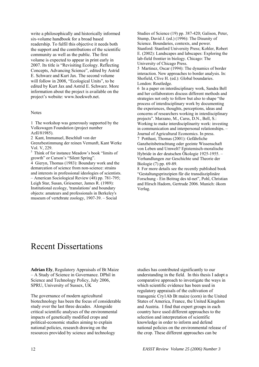write a philosophically and historically informed six-volume handbook for a broad based readership. To fulfil this objective it needs both the support and the contributions of the scientific community as well as the public. The first volume is expected to appear in print early in 2007. Its title is "Revisiting Ecology. Reflecting Concepts, Advancing Science", edited by Astrid E. Schwarz and Kurt Jax. The second volume will follow in 2008, "Ecological Units", to be edited by Kurt Jax and Astrid E. Schwarz. More information about the project is available on the project's website: www.hoekweb.net.

#### **Notes**

1 The workshop was generously supported by the Volkswagen Foundation (project number AzII/81985).

2 Kant, Immanuel, Beschluß von der

Grenzbestimmung der reinen Vernunft, Kant Werke Vol. V, 229.

<sup>3</sup> Think of for instance Meadow's book "limits of growth" or Carson's "Silent Spring".

4 Gieryn, Thomas (1983): Boundary work and the demarcation of science from non-science: strains and interests in professional ideologies of scientists. – American Sociological Review (48) pp. 781-795; Leigh Star, Susan, Griesemer, James R. (1989): Institutional ecology, 'translations' and boundary objects: amateurs and professionals in Berkeley's museum of vertebrate zoology, 1907-39. – Social

Studies of Science (19) pp. 387-420; Galison, Peter, Stump, David J. (ed.) (1996): The Disunity of Science. Boundaries, contexts, and power. Stanford: Stanford University Press; Kohler, Robert E. (2002): Landscapes and labscapes: Exploring the lab-field frontier in biology. Chicago: The University of Chicago Press.

5 Martinez, Oscar (1994): The dynamics of border interaction. New approaches to border analysis. In: Shofield, Clive H. (ed.): Global boundaries. London: Routledge.

6 In a paper on interdisciplinary work, Sandra Bell and her collaborators discuss different methods and strategies not only to follow but also to shape "the process of interdisciplinary work by documenting the experiences, thoughts, perceptions, ideas and concerns of researchers working in interdisciplinary projects". Marzano, M., Carss, D.N., Bell, S.: Working to make interdisciplinarity work: investing in communication and interpersonal relationships. – Journal of Agricultural Economics. In press.

7 Potthast, Thomas (2001): Gefährliche Ganzheitsbetrachtung oder geeinte Wissenschaft von Leben und Umwelt? Epistemisch-moralische Hybride in der deutschen Ökologie 1925-1955. – Verhandlungen zur Geschichte und Theorie der Biologie (7) pp. 69-89.

8 For more details see the recently published book "Gestaltungsprinzipien für die transdisziplinäre Forschung - Ein Beitrag des td-net", Pohl, Christian and Hirsch Hadorn, Gertrude 2006. Munich: ökom Verlag.

# Recent Dissertations

**Adrian Ely**, Regulatory Appraisals of Bt Maize – A Study of Science in Governance. DPhil in Science and Technology Policy, July 2006, SPRU, University of Sussex, UK

The governance of modern agricultural biotechnology has been the focus of considerable study over the last three decades. Alongside critical scientific analyses of the environmental impacts of genetically modified crops and political-economic studies aiming to explain national policies, research drawing on the resources provided by science and technology

studies has contributed significantly to our understanding in the field. In this thesis I adopt a comparative approach to investigate the ways in which scientific evidence has been used in regulatory appraisals of the cultivation of transgenic Cry1Ab Bt maize (corn) in the United States of America, France, the United Kingdom and Austria. I find that expert groups in each country have used different approaches to the selection and interpretation of scientific knowledge in order to inform and defend national policies on the environmental release of the crop. These different approaches can be

12 *EASST Review Volume 25 (2006) Number 3*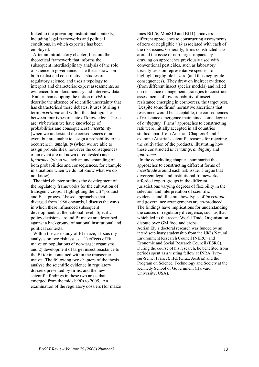linked to the prevailing institutional contexts, including legal frameworks and political conditions, in which expertise has been employed.

 After an introductory chapter, I set out the theoretical framework that informs the subsequent interdisciplinary analysis of the role of science in governance. The thesis draws on both realist and constructivist studies of regulatory science, and uses a typology to interpret and characterise expert assessments, as evidenced from documentary and interview data. Rather than adopting the notion of *risk* to describe the absence of scientific uncertainty that has characterised these debates, it uses Stirling's term *incertitude* and within this distinguishes between four types of state of knowledge. These are: *risk* (when we have knowledge of probabilities and consequences) *uncertainty* (when we understand the consequences of an event but are unable to assign a probability to its occurrence), *ambiguity* (when we are able to assign probabilities, however the consequences of an event are unknown or contested) and *ignorance* (when we lack an understanding of both probabilities and consequences, for example in situations when we do not know what we do not know).

 The third chapter outlines the development of the regulatory frameworks for the cultivation of transgenic crops. Highlighting the US "product" and EU "process"-based approaches that diverged from 1986 onwards, I discuss the ways in which these influenced subsequent developments at the national level. Specific policy decisions around Bt maize are described against a background of national institutional and political contexts.

 Within the case study of Bt maize, I focus my analysis on two risk issues  $-1$ ) effects of Bt maize on populations of non-target organisms and 2) development of target insect resistance to the Bt toxin contained within the transgenic maize. The following two chapters of the thesis analyse the scientific evidence in regulatory dossiers presented by firms, and the new scientific findings in these two areas that emerged from the mid-1990s to 2005. An examination of the regulatory dossiers (for maize lines Bt176, Mon810 and Bt11) uncovers different approaches to constructing assessments of zero or negligible *risk* associated with each of the risk issues. Generally, firms constructed *risk* around the issue of non-target impacts by drawing on approaches previously used with conventional pesticides, such as laboratory toxicity tests on representative species, to highlight negligible hazard (and thus negligible consequences). They drew on indirect evidence (from different insect species models) and relied on resistance management strategies to construct assessments of low probability of insect resistance emerging in cornborers, the target pest. Despite some firms' normative assertions that resistance would be acceptable, the consequences of resistance emergence maintained some degree of *ambiguity*. Firms' approaches to constructing *risk* were initially accepted in all countries studied apart from Austria. Chapters 4 and 5 examine Austria's scientific reasons for rejecting the cultivation of the products, illustrating how these constructed *uncertainty*, *ambiguity* and *ignorance*.

 In the concluding chapter I summarise the approaches to constructing different forms of *incertitude* around each risk issue. I argue that divergent legal and institutional frameworks afforded expert groups in the different jurisdictions varying degrees of flexibility in the selection and interpretation of scientific evidence, and illustrate how types of *incertitude* and governance arrangements are co-produced. The findings have implications for understanding the causes of regulatory divergence, such as that which led to the recent World Trade Organisation dispute over GM food and crops. Adrian Ely's doctoral research was funded by an interdisciplinary studentship from the UK's Natural Environment Research Council (NERC) and Economic and Social Research Council (ESRC). During the course of his research, he benefited from periods spent as a visiting fellow at INRA (Ivrysur-Seine, France), IFZ (Graz, Austria) and the Program on Science, Technology and Society at the Kennedy School of Government (Harvard University, USA).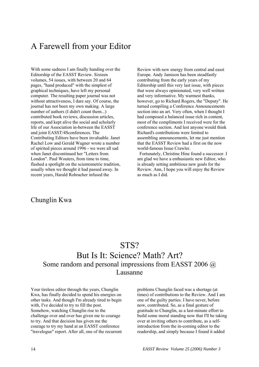# A Farewell from your Editor

With some sadness I am finally handing over the Editorship of the EASST Review. Sixteen volumes, 54 issues, with between 20 and 64 pages, "hand produced" with the simplest of graphical techniques, have left my personal computer. The resulting paper journal was not without attractiveness, I dare say. Of course, the journal has not been my own making. A large number of authors (I didn't count them...) contributed book reviews, discussion articles, reports, and kept alive the social and scholarly life of our Association in-between the EASST and joint EASST/4Sconferences. The Contributing Editors have been invaluable. Janet Rachel Low and Gerald Wagner wrote a number of spirited pieces around 1996 - we were all sad when Janet discontinued her "Letters from London". Paul Wouters, from time to time, flashed a spotlight on the scientometric tradition, usually when we thought it had passed away. In recent years, Harald Rohracher infused the

Review with new energy from central and easst Europe. Andy Jamison has been steadfastly contributing from the early years of my Editorship until this very last issue, with pieces that were always opinionated, very well written and very informative. My warmest thanks, however, go to Richard Rogers, the "Deputy". He turned compiling a Conference Announcements section into an art. Very often, when I thought I had composed a balanced issue rich in content, most of the compliments I received were for the conference section. And lest anyone would think Richard's contributions were limited to assembling announcements, let me just mention that the EASST Review had a first on the now world-famous Issue Crawler.

 Fortunately, Christine Hine found a successor. I am glad we have a enthusiastic new Editor, who is already setting ambitious new goals for the Review. Ann, I hope you will enjoy the Review as much as I did.

### Chunglin Kwa

### STS? But Is It: Science? Math? Art? Some random and personal impressions from EASST 2006 @ Lausanne

Your tireless editor through the years, Chunglin Kwa, has finally decided to spend his energies on other tasks. And though I'm already tired to begin with, I've decided to try to fill the post. Somehow, watching Chunglin rise to the challenge over and over has given me to courage to try. And that decision has given me the courage to try my hand at an EASST conference "travelogue" report. After all, one of the recurrent problems Chunglin faced was a shortage (at times) of contributions to the Review. And I am one of the guilty parties. I have never, before now, contributed. So, as a final gesture of gratitude to Chunglin, as a last-minute effort to build some moral standing now that I'll be taking over at inviting others to contribute, as a selfintroduction from the in-coming editor to the readership, and simply because I found it added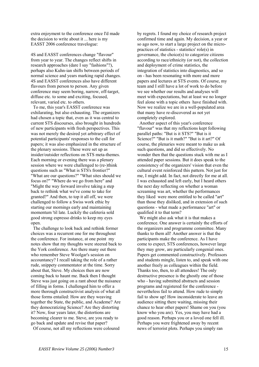extra enjoyment to the conference once I'd made the decision to write about it ... here is my EASST 2006 conference travelogue:

4S and EASST conferences change "flavour" from year to year. The changes reflect shifts in research approaches (dare I say "fashions"?), perhaps also Kuhn-ian shifts between periods of normal science and years marking rapid changes. 4S and EASST conferences also have different flavours from person to person. Any given conference may seem boring, narrow, off-target, diffuse etc. to some and exciting, focused, relevant, varied etc. to others.

 To me, this year's EASST conference was exhilarating, but also exhausting. The organizers had chosen a topic that, even as it was central to current STS discourses, also brought in hundreds of new participants with fresh perspectives. This was not merely the desired yet arbitrary effect of potential participants' responses to the call for papers; it was also emphasized in the structure of the plenary sessions. These were set up as insider/outsider reflections on STS meta-themes. Each morning or evening there was a plenary session where we were challenged to (re-)think questions such as "What is STS's frontier?" "What are our questions?" "What sites should we focus on?" "Where do we go from here" and "Might the way forward involve taking a step back to rethink what we've come to take for granted?" And then, to top it all off, we were challenged to follow a Swiss work ethic by starting our mornings early and maintaining momentum 'til late. Luckily the cafeteria sold good strong espresso drinks to keep my eyes open.

 The challenge to look back and rethink former choices was a recurrent one for me throughout the conference. For instance, at one point my notes show that my thoughts were steered back to the York conference. Are there many out there who remember Steve Woolgar's session on accountancy? I recall taking the role of a rather rude, snippety commentator at the time. Sorry about that, Steve. My choices then are now coming back to haunt me. Back then I thought Steve was just going on a rant about the nuisance of filling in forms. I challenged him to offer a more thorough constructivist analysis of what all those forms entailed: How are they weaving together the State, the public, and Academe? Are they democratizing Science? Are they distorting it? Now, four years later, the distortions are becoming clearer to me. Steve, are you ready to go back and update and revise that paper?

Of course, not all my reflections were coloured

by regrets. I found my choice of research project confirmed time and again. My decision, a year or so ago now, to start a large project on the micropractices of statistics - statistics' role(s) in governance, the choice(s) to categorize citizens according to race/ethnicity (or not), the collection and deployment of crime statistics, the integration of statistics into diagnostics, and so on - has been resonating with more and more papers and lectures at STS events. Of course, my team and I still have a lot of work to do before we see whether our results and analyses will meet with expectations, but at least we no longer feel alone with a topic others have finished with. Now we realize we are in a well-populated area that many have re-discovered as not yet completely explored.

 Another aspect of this year's conference "flavour" was that my reflections kept following parallel paths: "But is it STS?" "But is it Science?" "But is it math?" "But is it art?" Of course, the plenaries were meant to make us ask such questions, and did so effectively. No wonder then that the questions stuck with me as I attended paper sessions. But it does speak to the consistency of the organizers' vision that even the cultural event reinforced this pattern. Not just for me, I might add. In fact, not directly for me at all. I was exhausted and left early, but I heard others the next day reflecting on whether a woman screaming was art, whether the performances they liked were more entitled to be called "art" than those they disliked, and in extension of such questions - what made a performance "art" or qualified it to that term?

We might also ask what it is that makes a conference. One answer is certainly the efforts of the organizers and programme committee. Many thanks to them all! Another answer is that the participants make the conference. As I have come to expect, STS conferences, however large they may grow, are particularly congenial ones. Papers get commented constructively. Professors and students mingle, listen to, and speak with one another freely as colleagues within the field. Thanks too, then, to all attendees! The only destructive presence is the ghostly one of those who - having submitted abstracts and session programs and registered for the conference nevertheless fail to attend. How rude to simply fail to show up! How inconsiderate to leave an audience sitting there waiting, missing their chance to hear other papers! Shame on you (you know who you are). Yes, you may have had a good reason. Perhaps you or a loved one fell ill. Perhaps you were frightened away by recent news of terrorist plots. Perhaps you simply ran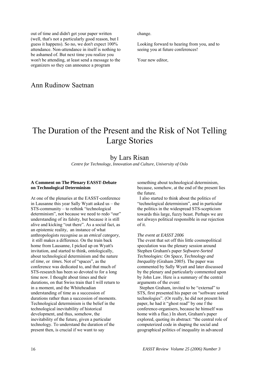out of time and didn't get your paper written (well, that's not a particularly good reason, but I guess it happens). So no, we don't expect 100% attendance. Non-attendance in itself is nothing to be ashamed of. But next time you realize you won't be attending, at least send a message to the organizers so they can announce a program

### Ann Rudinow Saetnan

#### change.

Looking forward to hearing from you, and to seeing you at future conferences!

Your new editor,

# The Duration of the Present and the Risk of Not Telling Large Stories

### by Lars Risan

*Centre for Technology, Innovation and Culture, University of Oslo* 

### **A Comment on The Plenary EASST-Debate on Technological Determinism**

At one of the plenaries at the EASST-conference in Lausanne this year Sally Wyatt asked us – the STS-community – to rethink "technological determinism", not because we need to redo "our" understanding of its falsity, but because it is still alive and kicking "out there". As a social fact, as an epistemic reality, an instance of what anthropologists recognise as an *emical category*, it still makes a difference. On the train back home from Lausanne, I picked up on Wyatt's invitation, and started to think, ontologically, about technological determinism and the nature of *time*, or *times.* Not of "spaces", as the conference was dedicated to, and that much of STS-research has been so devoted to for a long time now. I thought about times and their durations, on that Swiss train that I will return to in a moment, and the Whiteheadian understanding of time as a succession of durations rather than a succession of moments. Technological determinism is the belief in the technological inevitability of historical development, and thus, somehow, the inevitability of the future, given a particular technology. To understand the duration of the present then, is crucial if we want to say

something about technological determinism, because, somehow, at the end of the present lies the future.

 I also started to think about the politics of "technological determinism", and in particular the politics in the widespread STS-scepticism towards this large, fuzzy beast. Perhaps we are not always political responsible in our rejection of it.

#### *The event at EASST 2006*

The event that set off this little cosmopolitical speculation was the plenary session around Stephen Graham's paper *Software-Sorted Technologies: On Space, Technology and Inequality* (Graham 2005). The paper was commented by Sally Wyatt and later discussed by the plenary and particularly commented upon by John Law. Here is a summary of the central arguments of the event:

 Stephen Graham, invited to be "external" to STS, first presented his paper on "software sorted technologies". (Or really, he did not present his paper, he had it "ghost read" by one f the conference-organisers, because he himself was home with a flue.) In short, Graham's paper explored, quoting its abstract: "the central role of computerized code in shaping the social and geographical politics of inequality in advanced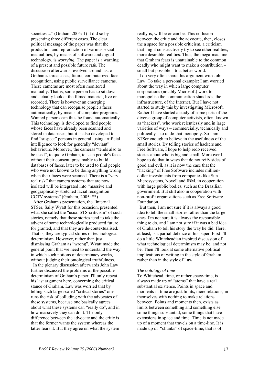societies ..." (Graham 2005: 1) It did so by presenting three different cases. The clear political message of the paper was that the production and reproduction of various social inequalities, by means of software and digital technology, is *worrying.* The paper is a warning of a present and possible future *risk*. The discussion afterwards revolved around last of Graham's three cases, future, computerized face recognition, using public surveillance cameras. These cameras are most often monitored manually. That is, some person has to sit down and actually look at the filmed material, live or recorded. There is however an emerging technology that can recognise people's faces automatically, by means of computer programs. Wanted persons can thus be found automatically. This technology is developed to find people whose faces have already been scanned and stored in databases, but it is also developed to find "suspect" persons in general, using artificial intelligence to look for generally "deviant" behaviours. Moreover, the cameras "tends also to be used", to quote Graham, to scan people's faces without their consent, presumably to build databases of faces, later to be used to find people who were not known to be doing anything wrong when their faces were scanned. There is a "very real risk" that camera systems that are now isolated will be integrated into "massive and geographically-stretched facial recognition CCTV systems" (Graham, 2005: \*\*)

 After Graham's presentation, the "internal STSer, Sally Wyatt for this occasion, presented what she called the "usual STS-criticism" of such stories, namely that these stories tend to take the advent of some technologically produced future for granted, and that they are de-contextualised. That is, they are typical stories of technological determinism. However, rather than just dismissing Graham as "wrong", Wyatt made the general point that we need to understand the way in which such notions of determinacy works, without judging their ontological truthfulness.

 In the plenary discussion afterwards John Law further discussed the problems of the possible determinism of Graham's paper. I'll only repeat his last argument here, concerning the critical stance of Graham. Law was worried that by telling such large scaled "critical stories" one runs the risk of colluding with the advocates of these systems, because one basically agrees about what these systems can "really do", and in how massively they can do it. The only difference between the advocate and the critic is that the former wants the system whereas the latter fears it. But they agree on what the system

really is, will be or can be. This collusion between the critic and the advocate, then, closes the a space for a possible criticism, a criticism that might constructively try to see other realities, more desirable realities. Thus, the mega-machine that Graham fears is unattainable to the common deadly who might want to make a contribution – small but possible – to a better world.

 I do very often share this argument with John Law. To take a personal example: I am worried about the way in which large computer corporations (notably Microsoft) work to monopolise the communication standards, the infrastructure, of the Internet. But I have not started to study this by investigating Microsoft. Rather I have started a study of some parts of the diverse group of computer activists, often known as "hackers", who work relentlessly and in large varieties of ways – commercially, technically and politically – to undo that monopoly. So I am STSer enough to believe in the usefulness of the small stories. By telling stories of hackers and Free Software, I hope to help redo received stories about who is big and small. Moreover I hope to do that in ways that do not reify sides of good and evil, as it is now the case that the "hacking" of Free Software includes milliondollar investments from companies like Sun Microsystems, Novell and IBM, in cooperation with large public bodies, such as the Brazilian government. But still also in cooperation with non-profit organizations such as Free Software Foundation.

 But then, I am not sure if it is always a good idea to tell the small stories rather than the large ones. I'm not sure it is always the responsible thing to do, and I am not sure if it was a bad idea of Graham to tell his story the way he did. Here, at least, is a partial defence of his paper. First I'll do a little Whiteheadian inspired discussion of what technological determinism may be, and not be. Then I'll look at some alternative political implications of writing in the style of Graham rather than in the style of Law.

#### *The ontology of time*

To Whitehead, time, or rather space-time, is always made up of "atoms" that have a real substantial existence. Points in space and moments in time are just limits, mere relations, in themselves with nothing to make relations between. Points and moments then, exists as limits between something and something else, some things substantial, some things that have extensions in space and time. Time is not made up of a moment that travels on a time-line. It is made up of "chunks" of space-time, that is of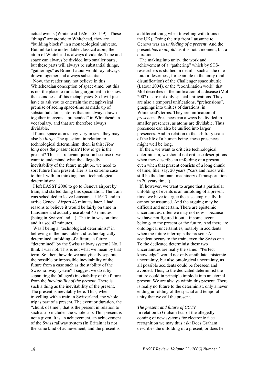actual events (Whitehead 1926: 158-159). These "things" are atomic to Whitehead, they are "building blocks" in a monadological universe. But unlike the undividable classical atom, the atom of Whitehead is always dividable. Time and space can always be divided into smaller parts, but these parts will always be substantial things, "gatherings" as Bruno Latour would say, always drawn together and always substantial.

 Now, the reader may not believe in this Whiteheadian conception of space-time, but this is not the place to run a long argument in to show the soundness of this metaphysics. So I will just have to ask you to entertain the metaphysical premise of seeing space-time as made up of substantial atoms, atoms that are always drawn together in events, "prehended" in Whiteheadian vocabulary, and that are therefore always dividable.

 If time-space atoms may vary in size, they may also be *large.* The question, in relation to technological determinism, then, is this: *How long does the present last?* How *large* is the present? This is a relevant question because if we want to understand what the allegedly inevitability of the future might be, we need to sort future from present. Her is an extreme case to think with, in thinking about technological determinism:

 I left EASST 2006 to go to Geneva airport by train, and started doing this speculation. The train was scheduled to leave Lausanne at 16:17 and to arrive Geneva Airport 43 minutes later. I had reasons to believe it would be fairly on time in Lausanne and actually use about 43 minutes (being in Switzerland ...). The train was on time and it used 43 minutes.

Was I being a "technological determinist" in believing in the inevitable and technologically determined unfolding of a future, a future "determined" by the Swiss railway system? No, I think I was not. This is not what we mean by that term. So, then, how do we analytically separate the possible or impossible inevitability of the future from a case such as the stability of the Swiss railway system? I suggest we do it by separating the (alleged) inevitability of the future from the *inevitability of the present*. There is such a thing as the inevitability of the present. The present is inevitably here. Thus, when travelling with a train in Switzerland, the whole trip is part of a present. The event or duration, the "chunk of time", that is the present in relation to such a trip includes the whole trip. This present is not a given. It is an achievement, an achievement of the Swiss railway system (In Britain it is not the same kind of achievement, and the present is

a different thing when travelling with trains in the UK). Doing the trip from Lausanne to Geneva was an *unfolding of a present*. And the present *has to unfold*, as it is not a moment, but a duration.

 The making into unity, the work and achievement of a "gathering" which by STSresearchers is studied in detail – such as the one Latour describes , for example in the unity (and disunification) of the Challenger space shuttle (Latour 2004), or the "coordination work" that Mol describes in the unification of a disease (Mol 2002) – are not only spacial unifications. They are also a temporal unifications, "prehensions", graspings into unities of durations, in Whitehead's terms. They are unification of *presences*. Presences can always be divided in smaller presences, as atoms are dividable. Thus presences can also be unified into larger presences. And in relation to the arbitrary scale of the life of a human being, these presences might well be long.

 If, then, we want to criticise technological determinism, we should not criticise descriptions when they describe an unfolding of a present, even when that present consists of a long chunk of time, like, say, 20 years ("cars and roads will still be the dominant machinery of transportation in 20 years time").

 If, however, we want to argue that a particular unfolding of events is an unfolding of a present time, we have to argue the case empirically. It cannot be assumed. And the arguing may be difficult and uncertain. There are epistemic uncertainties: often we may not now – because we have not figured it out  $-$  if some event belongs to the present or the future. And there are ontological uncertainties, notably in accidents when the future interrupts the present: An accident occurs to the train, even the Swiss one. To the dedicated determinist these two uncertainties are really the same: "Perfect knowledge" would not only annihilate epistemic uncertainty, but also ontological uncertainty, as all possible accidents could be foreseen and avoided. Thus, to the dedicated determinist the future could in principle implode into an eternal present. We are always within this present. There is really no future to the determinist, only a never ending unfolding of the spacial and temporal unity that we call the present.

#### *The present and future of CCTV*

In relation to Graham fear of the allegedly coming of new systems for electronic face recognition we may thus ask: Does Graham describes the unfolding of a present, or does he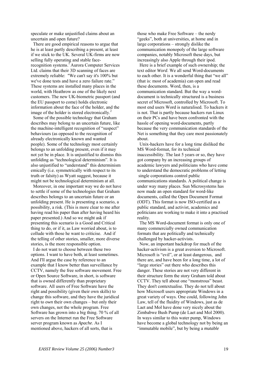speculate or make unjustified claims about an uncertain and open future?

 There are good empirical reasons to argue that he is at least partly describing a present, at least if we stick to the UK. Several UK-firms are now selling fully operating and stable facerecognition systems.<sup>1</sup> Aurora Computer Services Ltd. claims that their 3D scanning of faces are extremely reliable: "We can't say it's 100% but we've done tests and have a zero failure rate." These systems are installed many places in the world, with Heathrow as one of the likely next customers. The new UK-biometric passport (and the EU passport to come) holds electronic information about the face of the holder, and the image of the holder is stored electronically. $^{2}$ 

 Some of the possible technology that Graham describes may belong to an uncertain future, like the machine-intelligent recognition of "suspect" behaviours (as opposed to the recognition of already electronically known and wanted people). Some of the technology most certainly belongs to an unfolding present, even if it may not yet be in place. It is unjustified to dismiss this unfolding as "technological determinism". It is also unjustified to "understand" this determinism emically (i.e. symmetrically with respect to its truth or falsity) as Wyatt suggest, because it might not be technological determinism at all.

 Moreover, in one important way we do not have to settle if some of the technologies that Graham describes belongs to an uncertain future or an unfolding present. He is presenting a scenario, a possibility, a risk. (This is more clear to me after having read his paper than after having heard his paper presented.) And so we might ask if presenting this scenario is a Good and Critical thing to do, or if it, as Law worried about, is to collude with those he want to criticise. And if the telling of other stories, smaller, more diverse stories, is the more responsible option.

 I do not want to choose between these two options. I want to have both, at least sometimes. And I'll argue the case by reference to an example that I know better than surveillance by CCTV, namely the free software movement. Free or Open Source Software, in short, is software that is owned differently than proprietary software. All users of Free Software have the right and possibility (given their own skills) to change this software, and they have the juridical right to *own* their own changes – but only their own changes, not the whole program. Free Software has grown into a big thing. 70 % of all servers on the Internet run the Free Software server program known as *Apache*. As I mentioned above, hackers of all sorts, that is

those who make Free Software – the nerdy "geeks", both at universities, at home and in large corporations – strongly dislike the communication monopoly of the large software companies, notably Microsoft these days, but increasingly also Apple through their ipod.

 Here is a brief example of such ownership; the text editor *Word*. We all send Word-documents to each other. It is a wonderful thing that "we all" (that is: most of academia) can open and read these documents. Word, then, is a communication standard. But the way a worddocument is technically structured is a business secret of Microsoft, controlled by Microsoft. To most end users Word is naturalised. To hackers it is not. That is partly because hackers run Linux on their PCs and have been confronted with the hassle of opening word-documents, partly because the very communication standards of the Net is something that they care most passionately about.

 Unix-hackers have for a long time disliked the MS Word-format, for its technical inaccessibility. The last 5 years or so, they have got company by an increasing groups of academic lawyers and politicians who have come to understand the democratic problems of letting single corporations control public communications standards. A political change is under way many places. Sun Microsystems has now made an open standard for word-like documents, called the Open Document Format (ODT). This format is now ISO-certified as a public standard, and activist, academics and politicians are working to make it into a practised reality.

 The MS Word-document format is only one of many commercially owned communication formats that are politically and technically challenged by hacker-activists.

 Now, an important backdrop for much of the hacker-activism is a great aversion to Microsoft. Microsoft is "evil", or at least dangerous, and there are, and have been for a long time, a lot of "large stories" out there who describes this danger. These stories are not very different in their structure form the story Graham told about CCTV. They tell about one "monstrous" beast. They don't contextualise. They do not tell about how Microsoft users appropriate Windows in a great variety of ways. One could, following John Law, tell of the fluidity of Windows, just as de Laet and Mol have done very nicely about the Zimbabwe Bush Pump (de Laet and Mol 2000). In ways similar to this water pump, Windows have become a global technology not by being an "immutable mobile", but by being a *mutable*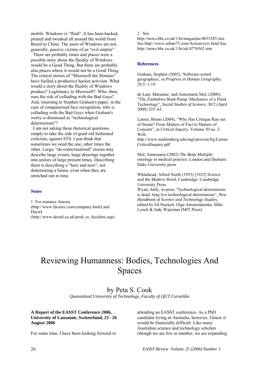*mobile*. Windows is "fluid": It has been hacked, pirated and tweaked all around the world from Brazil to China. The users of Windows are not, generally, passive victims of an "evil empire".

 There are probably times and places were a possible story about the fluidity of Windows would be a Good Thing. But there are probably also places where it would *not* be a Good Thing. The critical stories of "Microsoft the Monster" have fuelled a productive hacker activism. What would a story about the fluidity of Windows produce? Legitimacy to Microsoft? Who, then, runs the risk of colluding with the Bad Guys? And, returning to Stephen Graham's paper, in the case of computerised face recognition, who is colluding with the Bad Guys when Graham's worry is dismissed as "technological determinism"?

 I am not asking these rhetorical questions simply to take the side of good old fashioned criticism, against STS. I just think that sometimes we need the one, other times the other. Large, "de-contextualised" stories may describe large events, large drawings together into unities of large present times. Describing them is describing a "here and now", not determining a future, even when they are stretched out in time.

### **Notes**

1 For instance Aurora (http://www.facerec.com/company.html) and Dectel (http://www.dectel.co.uk/prod\_ss\_facialrec.asp). 2 See

http://news.bbc.co.uk/1/hi/magazine/4035285.stm See http://www.urban75.com/Action/cctv.html See http://news.bbc.co.uk/1/hi/uk/4776562.stm

#### **References**

Graham, Stephen (2005), 'Software-sorted geographies', in *Progress in Human Geography,*  29,5: 1-19

de Laet, Marianne and Annemarie Mol, (2000), "The Zimbabwe Bush Pump: Mechanics of a Fluid Technology", *Social Studies of Science,* 30/2 (April 2000) 225–63.

Latour, Bruno (2004), "Why Has Critique Run out of Steam? From Matters of Fact to Matters of Concern", in *Critical Inquiry*, Volume 30 no. 2. Web:

http://www.muhlenberg.edu/mgt/provost/frg/Latour CriticalInquiry.pdf

Mol, Annemarie (2002) *The Body Multiple: ontology in medical practice*, London and Durham: Duke University press

Whitehead, Alfred North (1953) [1925] *Science and the Modern Word*, Cambridge: Cambridge University Press

Wyatt, Sally, in press "Technological determinism is dead; long live technological determinism", *New Handbook of Science and Technology Studies,*  edited by Ed Hackett, Olga Amsterdamska, Mike Lynch & Judy Wajcman (MIT Press)

# Reviewing Humanness: Bodies, Technologies And Spaces

by Peta S. Cook

*Queensland University of Technology, Faculty of QUT Carseldin* 

### **A Report of the EASST Conference 2006, University of Lausanne, Switzerland, 23 - 26 August 2006**

For some time, I have been looking forward to

attending an EASST conference. As a PhD candidate living in Australia, however, I knew it would be financially difficult. Like many Australian science and technology scholars (though we are few in number, we are expanding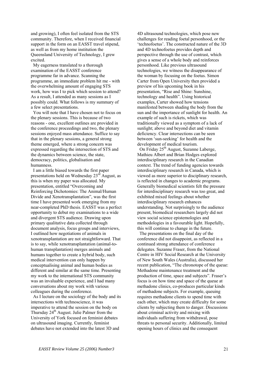and growing), I often feel isolated from the STS community. Therefore, when I received financial support in the form on an EASST travel stipend, as well as from my home institution the Queensland University of Technology, I grew excited.

 My eagerness translated to a thorough examination of the EASST conference programme far in advance. Scanning the programme, an immediate problem hit me - with the overwhelming amount of engaging STS work, how was I to pick which session to attend? As a result, I attended as many sessions as I possibly could. What follows is my summary of a few select presentations.

 You will note that I have chosen not to focus on the plenary sessions. This is because of two reasons - one, excellent outlines are provided in the conference proceedings and two, the plenary sessions enjoyed mass attendance. Suffice to say that in the plenary sessions, a general strong theme emerged, where a strong concern was expressed regarding the intersection of STS and the dynamics between science, the state, democracy, politics, globalisation and humanness.

 I am a little biased towards the first paper presentations held on Wednesday 23rd August, as this is when my paper was allocated. My presentation, entitled "Overcoming and Reinforcing Dichotomies: The Animal/Human Divide and Xenotransplantation", was the first time I have presented work emerging from my near-completed PhD thesis. EASST was a perfect opportunity to debut my examinations to a wide and divergent STS audience. Drawing upon primary qualitative data collected through document analysis, focus groups and interviews, I outlined how negotiations of animals in xenotransplantation are not straightforward. That is to say, while xenotransplantation (animal-tohuman transplantation) merges animals and humans together to create a hybrid body, such medical intervention can only happen by conceptualising animal and human bodies as different and similar at the same time. Presenting my work to the international STS community was an invaluable experience, and I had many conversations about my work with various colleagues during the conference.

 As I lecture on the sociology of the body and its intersections with technoscience, it was imperative to attend the session on the body on Thursday  $24<sup>th</sup>$  August. Julie Palmer from the University of York focused on feminist debates on ultrasound imaging. Currently, feminist debates have not extended into the latest 3D and

4D ultrasound technologies, which pose new challenges for reading foetal personhood, or the 'technofoetus'. The constructed nature of the 3D and 4D technofoetus provides depth and perspective through the use of contrast, which gives a sense of a whole body and reinforces personhood. Like previous ultrasound technologies, we witness the disappearance of the woman by focusing on the foetus. Simon Carter from Open University then provided a preview of his upcoming book in his presentation, "Rise and Shine: Sunshine, technology and health". Using historical examples, Carter showed how tensions manifested between shading the body from the sun and the importance of sunlight for health. An example of such is rickets, which was traditionally viewed as a symptom of a lack of sunlight; above and beyond diet and vitamin deficiency. Clear intersections can be seen between 'sun-seeking' for health and the development of medical tourism.

 On Friday 25th August, Suzanne Laberge, Mathieu Albert and Brian Hodges explored interdisciplinary research in the Canadian context. The trend of funding agencies towards interdisciplinary research in Canada, which is viewed as more superior to disciplinary research, is reflected in changes to academic programs. Generally biomedical scientists felt the pressure for interdisciplinary research was too great, and exhibited mixed feelings about whether interdisciplinary research enhances understanding. Not surprisingly to the audience present, biomedical researchers largely did not view social science epistemologies and methodologies in a favourable light. Hopefully, this will continue to change in the future.

 The presentations on the final day of the conference did not disappoint, as reflected in a continued strong attendance of conference delegates. Suzanne Fraser, from the National Centre in HIV Social Research at the University of New South Wales (Australia), discussed her recent publication, "The chronotope of the queue: Methadone maintenance treatment and the production of time, space and subjects". Fraser's focus is on how time and space of the queue at methadone clinics, co-produces particular kinds of methadone subjects. For example, queuing requires methadone clients to spend time with each other, which may create difficulty for some clients by subjecting them to danger. Discussions about criminal activity and mixing with individuals suffering from withdrawal, pose threats to personal security. Additionally, limited opening hours of clinics and the consequent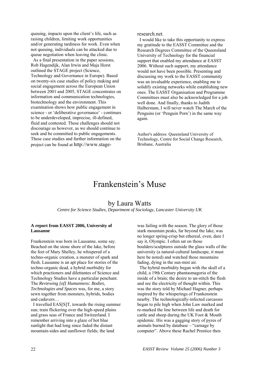queuing, impacts upon the client's life, such as raising children, limiting work opportunities and/or generating tardiness for work. Even when not queuing, individuals can be attacked due to queue negotiation when leaving the clinic.

 As a final presentation in the paper sessions, Rob Hagendijk, Alan Irwin and Maja Horst outlined the STAGE project (Science, Technology and Governance in Europe). Based on twenty-six case studies of policy making and social engagement across the European Union between 2001 and 2005, STAGE concentrates on information and communication technologies, biotechnology and the environment. This examination shows how public engagement in science - or 'deliberative governance' - continues to be underdeveloped, imprecise, ill-defined, fluid and contested. These challenges should not discourage us however, as we should continue to seek and be committed to public engagements. These case studies and further information on the project can be found at http://www.stageresearch.net.

 I would like to take this opportunity to express my gratitude to the EASST Committee and the Research Degrees Committee of the Queensland University of Technology for the financial support that enabled my attendance at EASST 2006. Without such support, my attendance would not have been possible. Presenting and discussing my work to the EASST community was an invaluable experience, enabling me to solidify existing networks while establishing new ones. The EASST Organisation and Programme Committees must also be acknowledged for a job well done. And finally, thanks to Judith Halberstam, I will never watch The March of the Penguins (or 'Penguin Porn') in the same way again.

Author's address: Queensland University of Technology, Centre for Social Change Research, Brisbane, Australia

### Frankenstein's Muse

### by Laura Watts

*Centre for Science Studies, Department of Sociology, Lancaster University UK* 

### **A report from EASST 2006, University of Lausanne**

Frankenstein was born in Lausanne, some say. Beached on the stone shore of the lake, before the feet of Mary Shelley, he whispered of a techno-organic creation, a monster of spark and flesh. Lausanne is an apt place for stories of the techno-organic dead, a hybrid morbidity for which practioners and dilettantes of Science and Technology Studies have a particular penchant. The *Reviewing [of] Humanness: Bodies, Technologies and Spaces* was, for me, a story sewn together from monsters, hybrids, bodies and cadavers…

 I travelled EAS[S]T, towards the rising summer sun; train flickering over the high-speed plains and grass seas of France and Switzerland. I remember arriving into a glaze of hot blue sunlight that had long since faded the distant mountain-sides and sunflower fields; the land

was failing with the season. The glory of those stark mountain peaks, far beyond the lake, was no longer spring-crisp but ethereal, even, dare I say it, Olympic. I often sat on those boulders/sculptures outside the glass walls of the university (a natural-cultural landscape, it must here be noted) and watched those mountains fading, dying in the sun-mist air.

 The hybrid morbidity began with the skull of a child, a 19th Century phantasmagoria of the inside of a brain; the desire to un-stitch the flesh and see the electricity of thought within. This was the story told by Michael Hagner, perhaps inspired by the whisperings of Frankenstein nearby. The technologically-infected carcasses began to pile high when John Law marked and re-marked the line between life and death for cattle and sheep during the UK Foot & Mouth epidemic. His was a gagging story of pyres of animals burned by database – "carnage by computer". Above these Rachel Prentice then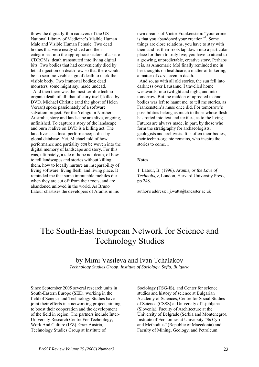threw the digitally-thin cadavers of the US National Library of Medicine's Visible Human Male and Visible Human Female. Two dead bodies that were neatly sliced and then categorised into the appropriate sectors of a set of CDROMs; death transmuted into living digital bits. Two bodies that had conveniently died by lethal injection on death-row so that there would be no scar, no visible sign of death to mark the visible body. Two immortal bodies; dead monsters, some might say, made undead.

 And then there was the most terrible technoorganic death of all: that of story itself, killed by DVD. Michael Christie (and the ghost of Helen Verran) spoke passionately of a software salvation project. For the Yolngu in Northern Australia, story and landscape are alive, ongoing, unfinished. To capture a story of the landscape and burn it alive on DVD is a killing act. The land lives as a local performance; it dies by global database. Yet, Michael told of how performance and partiality *can* be woven into the digital memory of landscape and story. For this was, ultimately, a tale of hope not death, of how to tell landscapes and stories without killing them, how to locally nurture an inseparability of living software, living flesh, and living place. It reminded me that some immutable mobiles die when they are cut off from their roots, and are abandoned unloved in the world. As Bruno Latour chastises the developers of Aramis in his

own dreams of Victor Frankenstein: "your crime is that you abandoned your creation"<sup>1</sup>. Some things are close relations, you have to stay with them and let their roots tap down into a particular place for them to truly live; you have to attend to a growing, unpredictable, creative story. Perhaps it is, as Annemarie Mol finally reminded me in her thoughts on healthcare, a matter of tinkering, a matter of *care*, even in death.

 And so, as with all old stories, the sun fell into darkness over Lausanne. I travelled home westwards, into twilight and night, and into tomorrow. But the midden of uprooted technobodies was left to haunt me, to tell me stories, as Frankenstein's muse once did. For tomorrow's possibilities belong as much to those whose flesh has rotted into text and textiles, as to the living. Futures are always made, in part, by those who form the stratigraphy for archaeologists, geologists and archivists. It is often their bodies, their techno-organic remains, who inspire the stories to come…

#### **Notes**

1 Latour, B. (1996). *Aramis, or the Love of Technology*, London, Harvard University Press, pp 248.

author's address: l.j.watts@lancaster.ac.uk

# The South-East European Network for Science and Technology Studies

### by Mimi Vasileva and Ivan Tchalakov

*Technology Studies Group, Institute of Sociology, Sofia, Bulgaria* 

Since September 2005 several research units in South-Eastern Europe (SEE), working in the field of Science and Technology Studies have joint their efforts in a networking project, aiming to boost their cooperation and the development of the field in region. The partners include Inter-University Research Centre For Technology, Work And Culture (IFZ), Graz Austria, Technology Studies Group at Institute of

Sociology (TSG-IS), and Center for science studies and history of science at Bulgarian Academy of Sciences, Centre for Social Studies of Science (CSSS) at University of Ljubljana (Slovenia), Faculty of Architecture at the University of Belgrade (Serbia and Montenegro), Institute of Economics at University "Ss Cyril and Methodius" (Republic of Macedonia) and Faculty of Mining, Geology, and Petroleum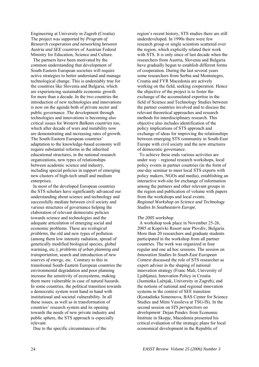Engineering at University in Zagreb (Croatia). The project was supported by *Program of Research cooperation and networking between Austria and SEE countries* of Austrian Federal Ministry for Education, Science and Culture.

 The partners have been motivated by the common understanding that development of South-Eastern European societies will require active strategies to better understand and manage technological change. This is undeniably true for the countries like Slovenia and Bulgaria, which are experiencing sustainable economic growth for more than a decade. In the two countries the introduction of new technologies and innovations is now on the agenda both of private sector and public governance. The development through technologies and innovations is becoming also critical issues for *Western Balkans countries too*, which after decade of wars and instability now are demonstrating and increasing rates of growth. The South-Eastern European countries' adaptation to the knowledge-based economy will require substantial reforms in the inherited educational structures, in the national research organizations, new types of relationships between academic science and industry, including special policies in support of emerging new clusters of high-tech small and medium enterprises.

 In most of the developed European countries the STS scholars have significantly advanced our understanding about science and technology and successfully mediate between civil society and various structures of governance helping the elaboration of relevant democratic policies towards science and technologies and the adequate articulation of emerging social and economic problems. These are *ecological problems*, the old and new types of pollution (among them low intensity radiation, spread of genetically modified biological species, global warming, etc.); *problems of urban planning and transportation*; search and introduction of *new sources of energy,* etc. Contrary to this in transitional South-Eastern European countries the environmental degradation and poor planning increase the sensitivity of ecosystems, making them more vulnerable in case of natural hazards. In some countries, the political transition towards a democratic system went hand in hand with institutional and societal vulnerability. In all these issues, as well as in transformation of countries' research system and its opening towards the needs of new private industry and public sphere, the STS approach is especially relevant.

Due to the specific circumstances of the

region's recent history, STS studies there are still underdeveloped. In 1990s there were few research group or single scientists scattered over the region, which explicitly related their work with STS. It is only since of last decade when the researchers from Austria, Slovenia and Bulgaria have gradually begun to establish different forms of cooperation. During the last several years some researchers from Serbia and Montenegro, Croatia and FYR Macedonia are actively working on the field, seeking cooperation. Hence the objective of the project is to foster the exchange of the accumulated expertise in the field of Science and Technology Studies between the partner countries involved and to discuss the relevant theoretical approaches and research methods for interdisciplinary research. This objective also includes identification of the policy implications of STS approach and exchange of ideas for improving the relationships between emerging STS community in South-East Europe with civil society and the new structures of democratic governance.

 To achieve these ends various activities are under way – regional research workshops, local policy events in partner countries (in the form of one-day seminar to meet local STS experts with policy makers, NGOs and media), establishing an interactive web-site for exchange of information among the partners and other relevant groups in the region and publication of volume with papers from the workshops and local events. *Regional Workshop on Science and Technology Studies In Southeastern Europe.*

### *The 2005 workshop*

 A workshop took place in November 25-26, 2005 at Koprivki Resort near Plovdiv, Bulgaria. More than 20 researchers and graduate students participated in the workshop from all partner countries. The work was organized in four regular and one ad hoc sessions. The session on *Innovation Studies In South-East European Context* discussed the role of STS researcher as expert adviser in the shaping of national innovation strategy (Franc Mali, University of Ljubljana), Innovation Policy in Croatia (Jasminka Lažnjak, University in Zagreb), and the notions of national and regional innovation systems in the context of SEE transition (Kostadinka Simeonova, BAS Center for Science Studies and Mimi Vassileva at TSG-IS). In the second session on *STS perspectives on development* Dejan Pendev from Economic Institute in Skopje, Macedonia presented his critical evaluation of the strategic plans for local economical development in the Republic of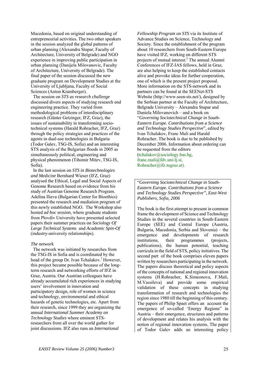Macedonia, based on original understanding of entrepreneurial activities. The two other speakers in the session analyzed the global patterns of urban planning (Alexandra Stupar, Faculty of Architecture, University of Belgrade) and NGO experience in improving public participation in urban planning (Danijela Milovanovic, Faculty of Architecture, University of Belgrade). The final paper of the session discussed the new graduate program on Development Studies at the University of Ljubljana, Faculty of Social Sciences (Anton Kramberger).

 The session on *STS as research challenge*  discussed divers aspects of studying research end engineering practice. They varied from methodological problems of interdisciplinary research (Günter Getzinger, IFZ, Graz), the issues of sustainability in transforming sociotechnical systems (Harald Rohracher, IFZ, Graz) through the policy strategies and practices of the agents in dual-use technologies in Bulgaria (Todor Galev, TSG-IS, Sofia) and an interesting STS analysis of the Bulgarian floods in 2005 as simultaneously political, engineering and physical phenomenon (Tihomir Mitev, TSG-IS, Sofia).

 In the last session on *STS in Biotechnologies and Medicine* Bernhard Wieser (IFZ, Graz) analysed the Ethical, Legal and Social Aspects of Genome Research based on evidence from his study of Austrian Genome Research Program. Adelina Ilieva (Bulgarian Center for Bioethics) presented the research and mediation program of this newly established NGO. The Workshop also hosted *ad hoc session*, where graduate students from Plovdiv University have presented selected papers their summer practices on *Sociology Of Large Technical Systems* and *Academic Spin-Of* (industry-university relationships).

#### *The network*

The network was initiated by researches from the TSG-IS in Sofia and is coordinated by the head of the group Dr. Ivan Tchalakov.<sup>1</sup> However, this project became possible because of the longterm research and networking efforts of IFZ in Graz, Austria. Our Austrian colleagues have already accumulated rich experiences in studying users' involvement in innovation and participatory design, role of women in science and technology, environmental and ethical hazards of genetic technologies, etc. Apart from their research, since 1999 they are organizing the annual *International Summer Academy on Technology Studies* where eminent STSresearchers from all over the world gather for joint discussions. IFZ also runs an *International* 

*Fellowship Program on STS* via its Institute of Advance Studies on Science, Technology and Society. Since the establishment of the program about 10 researchers from South-Eastern Europe have visited IFZ, working on different STS projects of mutual interest.<sup>2</sup> The annual Alumni Conferences of IFZ-IAS fellows, held in Graz, are also helping to keep the established contacts alive and provoke ideas for further cooperation, one of which is the present project proposal. More information on the STS-network and its partners can be found at the SEENet-STS Website (http://www.seen-sts.net/), designed by the Serbian partner at the Faculty of Architecture, Belgrade University – Alexandra Stupar and Daniela Milovanovich – and a book on "*Governing Sociotechnical Change in South-Eastern Europe. Contributions from a Science and Technology Studies Perspective*", edited by Ivan Tchalakov, Franc Mali and Harald Rohracher. The book is due to be published by December 2006. Information about ordering can be requested from the editors (tchalakov@sociology.bas.bg, franc.mali@fdv.uni-lj.si, Rohracher@ifz.tugraz.at).

"*Governing Sociotechnical Change in South-Eastern Europe. Contributions from a Science and Technology Studies Perspective", East-West Publishers, Sofia, 2006* 

The book is the first attempt to present in common frame the development of Science and Technology Studies in the several countries in South-Eastern Europe (SEE) and Central Europe (Austria, Bulgaria, Macedonia, Serbia and Slovenia) – the emergence and developments of research institutions, their programmes (projects, publications), the human potential, teaching curricula in the field of STS, policy initiatives. The second part of the book comprises eleven papers written by researchers participating in the network. The papers discuss theoretical and policy aspects of the concepts of national and regional innovation systems (H.Rohracher, K.Simeonova, F.Mali, M.Vassileva) and provide some empirical validation of these concepts in studying transformation of research and technologies the region since 1980 till the beginning of this century. The papers of Philip Spaet offers an account the emergence of so-called 'Energy Regions" in Austria – their emergence, structures and patterns of development and relates his analysis with the notion of regional innovation systems. The paper of Todor Galev adds an interesting policy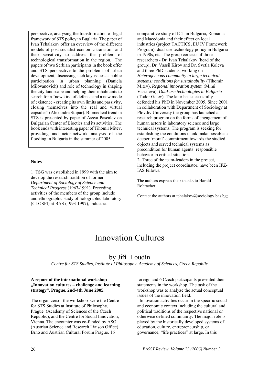perspective, analysing the transformation of legal framework of STS policy in Buglaria. The paper of Ivan Tchalakov offer an overview of the different models of post-socialist economic transition and their sensitivity to address the problem of technological transformation in the region. The papers of two Serbian participants in the book offer and STS perspective to the problems of urban development, discussing such key issues as public participation in urban planning (Daniela Milovanovich) and role of technology in shaping the city landscape and helping their inhabitants to search for a "new kind of defense and a new mode of existence - creating its own limits and passivity, closing themselves into the real and virtual capsules" (Alexandra Stupar). Biomedical trend in STS is presented by paper of Assya Pascalev on Bulgarian Center of Bioetics and its activities. The book ends with interesting paper of Tihomir Mitev, providing and actor-network analysis of the flooding in Bulgaria in the summer of 2005.

### **Notes**

1 TSG was established in 1999 with the aim to develop the research tradition of former *Department of Sociology of Science and Technical Progress* (1967-1991). Preceding activities of the members of the group include and ethnographic study of holographic laboratory (CLOSPI) at BAS (1993-1997), industrial

comparative study of ICT in Bulgaria, Romania and Macedonia and their effect on local industries (project TACTICS, EU IV Framework Program), dual-use technology policy in Bulgaria in 1990s, etc. The group consists of three researchers - Dr. Ivan Tchalakov (head of the group), Dr. Vassil Kirov and Dr. Svetla Koleva and three PhD students, working on *Heterogeneous community in large technical systems: conditions for sustainability* (Tihomir Mitev), *Regional innovation system* (Mimi Vassileva), *Dual-use technologies in Bulgaria*  (Todor Galev). The later has successfully defended his PhD in November 2005. Since 2001 in collaboration with Department of Sociology at Plovdiv University the group has launched a research program on the forms of engagement of human actors in laboratory science and large technical systems. The program is seeking for establishing the conditions thank make possible a deeper 'moral' commitment towards the studied objects and served technical systems as precondition for human agents' responsible behavior in critical situations.

2 Three of the team-leaders in the project, including the project coordinator, have been IFZ-IAS fellows.

The authors express their thanks to Harald Rohracher

Contact the authors at tchalakov@sociology.bas.bg;

### Innovation Cultures

### by Jiří Loudín

*Centre for STS Studies, Institute of Philosophy, Academy of Sciences, Czech Republic* 

### **A report of the international workshop "Innovation cultures – challenge and learning strategy", Prague, 2nd-4th June 2005.**

The organizersof the workshop were the Centre for STS Studies at Institute of Philosophy, Prague (Academy of Sciences of the Czech Republic), and the Centre for Social Innovation, Vienna. The encounter was co-funded by ASO (Austrian Science and Research Liaison Office) Brno and Austrian Cultural Forum Prague. 16

foreign and 6 Czech participants presented their statements in the workshop. The task of the workshop was to analyze the actual conceptual issues of the innovation field.

 Innovation activities occur in the specific social and economic context including the cultural and political traditions of the respective national or otherwise defined community. The major role is played by the historically developed systems of education, culture, entrepreneurship, or governance, "life practices" at large. In this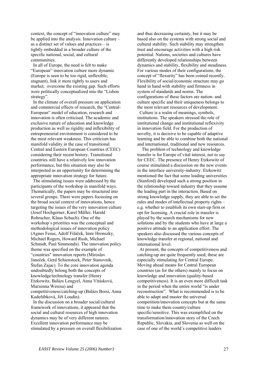context, the concept of "innovation culture" may be applied into the analysis. Innovation culture – as a distinct set of values and practices – is tightly embedded in a broader culture of the specific national, social, and cultural communities.

 In all of Europe, the need is felt to make "European" innovation culture more dynamic (Europe is seen to be too rigid, unflexible, stagnant), link it more tightly to users and market, overcome the existing gap. Such efforts were politically conceptualized into the "Lisbon strategy".

 In the climate of overall pressure on application and commercial effects of research, the "Central-European" model of education, research and innovation is often criticised. The academic and exclusive nature of education and knowledge production as well as rigidity and inflexibility of entrepreneurial environment is considered to be the most relevant weakness. This criticism has manifold validity in the case of transitional Central and Eastern European Countries (CEEC) considering their recent history. Transitional countries still have a relatively low innovation performance, but this situation may also be interpreted as an opportunity for determining the appropriate innovation strategy for future.

 The stimulating issues were addressed by the participants of the workshop in manifold ways. Thematically, the papers may be structured into several groups. There were papers focussing on the broad social context of innovations, hence targeting the issues of the very innovation culture (Josef Hochgerner, Karel Müller, Harald Rohracher, Klaus Schuch). One of the workshop´s priorities was the conceptual and methodological issues of innovation policy (Agnes Fesus, Adolf Filáček, Imre Hronszky, Michael Rogers, Howard Rush, Michael Schmidt, Paul Simmonds). The innovation policy theme was specified on the example of "countries" innovation reports (Miroslav Janeček, Gerd Schienstock, Peter Stanovnik, Štefan Zajac). To the core innovation agenda undoubtedly belong both the concepts of knowledge/technology transfer (Henry Etzkowitz, Balázs Lengyel, Anna Vitásková, Marzenna Weresa) and competitiveness/catching-up (Balázs Borsi, Anna Kadeřábková, Jiří Loudín).

 In the discussion on a broader social/cultural framework of innovations, it appeared that the social and cultural resources of high innovation dynamics may be of very different natures. Excellent innovation performance may be stimulated by a pressure on overall flexibilization

and thus decreasing certainty, but it may be based also on the systems with strong social and cultural stability. Such stability may strengthen trust and encourage activities with a high risk potential. Nations, societies and cultures have differently developed relationships between dynamics and stability, flexibility and steadiness. For various modes of their configurations, the concept of "flexurity" has been coined recently. Flexibility of social/economic structure may go hand in hand with stability and firmness in system of standards and norms. The configurations of these factors are nation- and culture specific and their uniqueness belongs to the most relevant resources of development.

 Culture is a realm of meanings, symbols, institutions. The speakers stressed the role of institutional change and institutional reflexivity in innovation field. For the production of novelty, it is decisive to be capable of adaptive learning and be able to combine both the national and international, traditional and new resources.

 The problem of technology and knowledge transfer is for Europe of vital interest, not to say for CEEC. The presence of Henry Etzkowitz of course stimulated a discussion on the new events in the interface university-industry. Etzkowitz mentioned the fact that some leading universities (Stanford) developed such a strong position in the relationship toward industry that they assume the leading part in the interaction. Based on strong knowledge supply, they are able to set the rules and modes of intellectual property rights – e.g. whether to establish its own start-up firm or opt for licensing. A crucial role in transfer is played by the search mechanisms for new solutions and by the students who have at large a positive attitude to an application effort. The speakers also discussed the various concepts of knowledge transfer at regional, national and international level.

 At present, the concepts of competitiveness and catching-up are quite frequently used; these are especially stimulating for Central Europe. Moving ahead means for Central European countries (as for the others) mainly to focus on knowledge and innovation (quality-based competitiveness). It is an even more difficult task in the period when the entire world "is under reconstruction". What is recommended is to be able to adapt and master the universal competition/innovation concepts but at the same time to make them country/culture specific/sensitive. This was exemplified on the transformation/innovation story of the Czech Republic, Slovakia, and Slovenia as well on the case of one of the world´s competitive leaders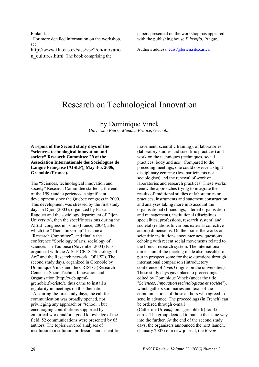Finland.

 For more detailed information on the workshop, see

http://www.flu.cas.cz/stss/vse2/en/inovatio n\_cultures.html. The book comprising the

papers presented on the workshop has appeared with the publishing house *Filosofia*, Prague.

Author's address: edist@lorien.site.cas.cz

## Research on Technological Innovation

### by Dominique Vinck

*Université Pierre-Mendès-France, Grenoble* 

**A report of the Second study days of the "sciences, technological innovation and society" Research Committee 29 of the Association Internationale des Sociologues de Langue Française (AISLF), May 3-5, 2006, Grenoble (France).** 

The "Sciences, technological innovation and society" Research Committee started at the end of the 1990 and experienced a significant development since the Quebec congress in 2000. This development was stressed by the first study days in Dijon (2003), organized by Pascal Ragouet and the sociology department of Dijon University), then the specific sessions during the AISLF congress in Tours (France, 2004), after which the "Thematic Group" became a "Research Committee", and finally the conference "Sociology of arts, sociology of sciences" in Toulouse (November 2004) (Coorganized with the AISLF CR18 "Sociology of Art" and the Research network "OPUS"). The second study days, organized in Grenoble by Dominique Vinck and the CRISTO (Research Center in Socio-Technic Innovation and Organisation (http://web.upmfgrenoble.fr/cristo**/**), thus came to install a regularity in meetings on this thematic.

 As during the first study days, the call for communication was broadly opened, not privileging any approach or "school", but encouraging contributions supported by empirical work and/or a good knowledge of the field. 52 communications were presented by 65 authors. The topics covered analyses of institutions (institution, profession and scientific

movement; scientific training), of laboratories (laboratory studies and scientific practices) and work on the techniques (techniques, social practices, body and use). Compared to the preceding meetings, one could observe a slight disciplinary centring (less participants not sociologists) and the renewal of work on laboratories and research practices. These works renew the approaches trying to integrate the results of traditional studies of laboratories on practices, instruments and statement construction and analyses taking more into account the organisational (financings, internal organisation and management), institutional (disciplines, specialities, professions, research system) and societal (relations to various external collective actors) dimensions. On their side, the works on scientific institutions encounter new questions echoing with recent social movements related to the French research system. The international dimension of the meeting made also possible to put in prospect some for these questions through international comparison (introductory conference of Yves Gingras on the universities). These study days gave place to proceedings edited by Dominique Vinck (under the title "*Sciences, Innovation technologique et société*"), which gathers summaries and texts of the communications of those authors who agreed to send in advance. The proceedings (in French) can be ordered through e-mail (Catherine.Urrea@upmf-grenoble.fr) for 35 euros. The group decided to pursue the same way into the further. At the end of the second study days, the organizers announced the next launch, (January 2007) of a new journal, the *Revue*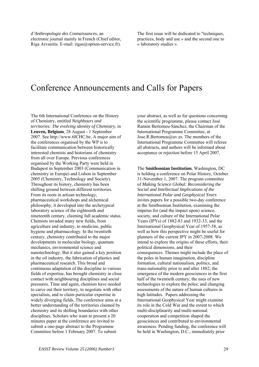*d'Anthropologie des Connaissances*, an electronic journal mainly in French (Chief editor, Riga Arvanitis. E-mail: rigas@option-service.fr).

The first issue will be dedicated to "techniques, practices, body and use » and the second one to « laboratory studies ».

### Conference Announcements and Calls for Papers

The 6th International Conference on the History of Chemistry, entitled *Neighbours and territories: The evolving identity of Chemistry*, in **Leuven, Belgium**, 28 August - 1 September 2007. See http://www.6ICHC.be. A major aim of the conferences organised by the WP is to facilitate communication between historically interested chemists and historians of chemistry from all over Europe. Previous conferences organised by the Working Party were held in Budapest in September 2003 (Communication in chemistry in Europe) and Lisbon in September 2005 (Chemistry, Technology and Society). Throughout its history, chemistry has been shifting ground between different territories. From its roots in artisan technology, pharmaceutical workshops and alchemical philosophy, it developed into the archetypical laboratory science of the eighteenth and nineteenth century, claiming full academic status. Chemists invaded many new fields, from agriculture and industry, to medicine, public hygiene and pharmacology. In the twentieth century, chemistry contributed to the major developments in molecular biology, quantum mechanics, environmental science and nanotechnology. But it also gained a key position in the oil industry, the fabrication of plastics and pharmaceutical research. This broad and continuous adaptation of the discipline to various fields of expertise, has brought chemistry in close contact with neighbouring disciplines and social pressures. Time and again, chemists have needed to carve out their territory, to negotiate with other specialists, and to claim particular expertise in widely diverging fields. The conference aims at a better understanding of the territories claimed by chemistry and its shifting boundaries with other disciplines. Scholars who want to present a 20 minutes paper at the conference are invited to submit a one-page abstract to the Programme Committee before 1 February 2007. To submit

your abstract, as well as for questions concerning the scientific programme, please contact José Ramón Bertomeu-Sánchez, the Chairman of the International Programme Committee, at Jose.R.Bertomeu@uv.es. The members of the International Programme Committee will referee all abstracts, and authors will be informed about acceptance or rejection before 15 April 2007.

The **Smithsonian Institution**, Washington, DC is holding a conference on Polar History, October 31-November 1, 2007. The program committee of *Making Science Global: Reconsidering the Social and Intellectual Implications of the International Polar and Geophysical Years* invites papers for a possible two-day conference at the Smithsonian Institution, examining the impetus for (and the impact upon) science, society, and culture of the International Polar Years (IPYs) of 1882-83 and 1932-33, and the International Geophysical Year of 1957-58, as well as how this perspective might be useful for planners of the current IPY in 2007-2008. We intend to explore the origins of these efforts, their political dimensions, and their consequences. Themes might include the place of the poles in human imagination, discipline formation, cultural nationalism, politics, and trans-nationality prior to and after 1882; the emergence of the modern geosciences in the first half of the twentieth century; the uses of new technologies to explore the poles; and changing assessments of the nature of human cultures in high latitudes. Papers addressing the International Geophysical Year might examine its role in the Cold War and the extent to which multi-disciplinarity and multi-national cooperation and competition shaped the geosciences and contributed to environmental awareness. Pending funding, the conference will be held in Washington, D.C., immediately prior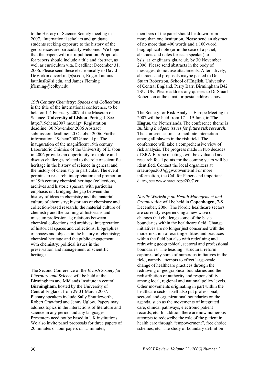to the History of Science Society meeting in 2007. International scholars and graduate students seeking exposure to the history of the geosciences are particularly welcome. We hope that the papers will merit publication. Proposals for papers should include a title and abstract, as well as curriculum vita. Deadline: December 31, 2006. Please send these electronically to David DeVorkin devorkind@si.edu, Roger Launius launiusR@si.edu, and James Fleming jfleming@colby.edu.

*19th Century Chemistry: Spaces and Collections* is the title of the international conference, to be held on 1-4 February 2007 at the Museum of Science, **University of Lisbon**, Portugal. See http://19chem2007.mc.ul.pt. Registration deadline: 30 November 2006 Abstract submission deadline: 20 October 2006. Further information: 19chem2007@mc.ul.pt. The inauguration of the magnificent 19th century Laboratorio Chimico of the University of Lisbon in 2006 provides an opportunity to explore and discuss challenges related to the role of scientific heritage in the history of science in general and the history of chemistry in particular. The event pertains to research, interpretation and promotion of 19th century chemical heritage (collections, archives and historic spaces), with particular emphasis on: bridging the gap between the history of ideas in chemistry and the material culture of chemistry; historians of chemistry and collection-based research; the material culture of chemistry and the training of historians and museum professionals; relations between chemical collections and archives; interpretation of historical spaces and collections; biographies of spaces and objects in the history of chemistry; chemical heritage and the public engagement with chemistry; political issues in the preservation and management of scientific heritage.

The Second Conference of the *British Society for Literature and Science* will be held at the Birmingham and Midlands Institute in central **Birmingham**, hosted by the University of Central England, from 29-31 March 2007. Plenary speakers include Sally Shuttleworth, Robert Crawford and Jenny Uglow. Papers may address topics in the interactions of literature and science in any period and any languages. Presenters need not be based in UK institutions. We also invite panel proposals for three papers of 20 minutes or four papers of 15 minutes;

members of the panel should be drawn from more than one institution. Please send an abstract of no more than 400 words and a 100-word biographical note (or in the case of a panel, abstracts and notes for each speaker) to bsls at englit.arts.gla.ac.uk, by 30 November 2006. Please send abstracts in the body of messages; do not use attachments. Alternatively, abstracts and proposals maybe posted to Dr Stuart Robertson, School of English, University of Central England, Perry Barr, Birmingham B42 2SU, UK. Please address any queries to Dr Stuart Robertson at the email or postal address above.

The Society for Risk Analysis Europe Meeting in 2007 will be held from 17 – 19 June, in **The Hague**, the Netherlands. The conference theme is *Building bridges: issues for future risk research*. The conference aims to facilitate interaction among all players in the risk field. The conference will take a comprehensive view of risk analysis. The progress made in two decades of SRA-Europe meetings will be evaluated and research focal points for the coming years will be identified. Contact the local organizers at sraeurope2007@gw.utwente.nl For more information, the Call for Papers and important dates, see www.sraeurope2007.eu.

*Nordic Workshop on Health Management and Organization* will be held in **Copenhagen**, 7-8 December, 2006. The Nordic healthcare sectors are currently experiencing a new wave of changes that challenge some of the basic boundaries within the healthcare field. Change initiatives are no longer just concerned with the modernization of existing entities and practices within the field but also with redefining and redrawing geographical, sectoral and professional boundaries. The heading "structural reform" captures only some of numerous initiatives in the field, namely attempts to effect large-scale change of healthcare practices through the redrawing of geographical boundaries and the redistribution of authority and responsibility among local, regional and national policy levels. Other movements originating in part within the healthcare sector itself also put professional, sectoral and organizational boundaries on the agenda, such as the movements of integrated care, clinical pathways, electronic patient records, etc. In addition there are now numerous attempts to redescribe the role of the patient in health care through "empowerment", free choice schemes, etc. The study of boundary definition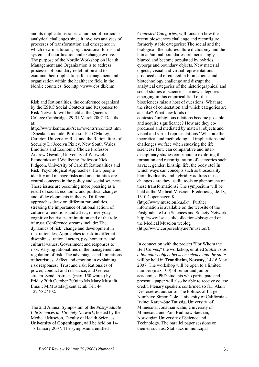and its implications raises a number of particular analytical challenges since it involves analyses of processes of transformation and emergence in which new institutions, organizational forms and systems of coordination and exchange evolve. The purpose of the Nordic Workshop on Health Management and Organization is to address processes of boundary redefinition and to examine their implications for management and organization within the healthcare field in the Nordic countries. See http://www.cbs.dk/chm.

Risk and Rationalities, the conference organised by the ESRC Social Contexts and Responses to Risk Network, will be held at the Queen's College Cambridge, 29-31 March 2007. Details at:

http://www.kent.ac.uk/scarr/events/rrcontext.htm . Speakers include: Professor Pat O'Malley, Carleton University: Risk and the Rationalities of Security Dr Jocelyn Pixley, New South Wales: Emotions and Economic Choice Professor Andrew Oswald, University of Warwick: Economics and Wellbeing Professor Nick Pidgeon, University of Cardiff: Rationalities and Risk: Psychological Approaches. How people identify and manage risks and uncertainties are central concerns in the policy and social sciences. These issues are becoming more pressing as a result of social, economic and political changes and of developments in theory. Different approaches draw on different rationalities, stressing the importance of rational action, of culture, of emotions and affect, of everyday cognitive heuristics, of intuition and of the role of trust. Conference streams include: The dynamics of risk: change and development in risk rationales; Approaches to risk in different disciplines: rational actors, psychometrics and cultural values; Government and responses to risk; Varying rationalities in the management and regulation of risk; The advantages and limitations of heuristics; Affect and emotion in explaining risk responses; Trust and risk; Rationales of power, conduct and resistance; and General stream. Send abstracts (max. 150 words) by Friday 20th October 2006 to Ms Mary Mustafa Email: M.Mustafa@kent.ac.uk Tel: 44 1227/827102.

The 2nd Annual Symposium of the *Postgraduate Life Sciences and Society Network*, hosted by the Medical Museion, Faculty of Health Sciences, **University of Copenhagen**, will be held on 14- 17 January 2007. The symposium, entitled

*Contested Categories*, will focus on how the recent biosciences challenge and reconfigure formerly stable categories: The social and the biological, the nature/culture dichotomy and the human/animal boundaries are increasingly blurred and become populated by hybrids, cyborgs and boundary objects. New material objects, visual and virtual representations produced and circulated in biomedicine and biotechnology challenge and disrupt the analytical categories of the historiographical and social studies of science. The new categories emerging in this empirical field of the biosciences raise a host of questions: What are the sites of contestation and which categories are at stake? What new kinds of contested/ambiguous relations become possible and acquire significance? How are they coproduced and mediated by material objects and visual and virtual representations? What are the theoretical and methodological implications and challenges we face when studying the life sciences? How can comparative and interdisciplinary studies contribute to exploring the formation and reconfiguration of categories such as race, gender, kinship, life, the body etc? In which ways can concepts such as biosociality. bioindividuality and hybridity address these changes - are they useful tools or phenomena of these transformations? The symposium will be held at the Medical Museion, Fredericiagade 18, 1310 Copenhagen K (http://www.museion.ku.dk/). Further information is available on the website of the Postgraduate Life Sciences and Society Network, http://www.lse.ac.uk/collections/plssg/ and on the Medical Museion weblog (http://www.corporeality.net/museion/).

In connection with the project "For Whom the Bell Curves," the workshop, entitled *Statistics as a boundary object between science and the state* will be held in **Trondheim, Norway**, 14-16 May 2007. The workshop will be open to a limited number (max 100) of senior and junior academics. PhD students who participate and present a paper will also be able to receive course credit. Plenary speakers confirmed so far: Alain Desrosières, author of The Politics of Large Numbers; Simon Cole, University of California - Irvine; Karen-Sue Taussig, University of Minnesota; Jonathan Kahn, University of Minnesota; and Ann Rudinow Saetnan, Norwegian University of Science and Technology. The parallel paper sessions on themes such as: Statistics in municipal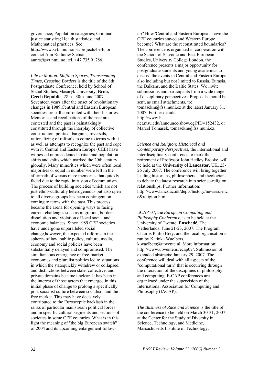governance; Population categories; Criminal justice statistics; Health statistics; and Mathematical practices. See http://www.svt.ntnu.no/iss/projects/bell/, or contact Ann Rudinow Sætnan, annrs@svt.ntnu.no, tel. +47 735 91786.

*Life in Motion: Shifting Spaces, Transcending Times, Crossing Borders* is the title of the 8th Postgraduate Conference, held by School of Social Studies, Masaryk University, **Brno, Czech Republic**, 28th - 30th June 2007. Seventeen years after the onset of revolutionary changes in 1989,Central and Eastern European societies are still confronted with their histories. Memories and recollections of the past are contested and the past is painstakingly constituted through the interplay of collective construction, political bargains, reversals, rationalizing of refusals to come to terms with it as well as attempts to recognize the past and cope with it. Central and Eastern Europe (CEE) have witnessed unprecedented spatial and population shifts and splits which marked the 20th century globally. Many minorities which were often local majorities or equal in number were left in the aftermath of warsas mere memories that quickly faded due to the rapid intrusion of communism. The process of building societies which are not just ethno-culturally heterogeneous but also open to all diverse groups has been contingent on coming to terms with the past. This process became the arena for opening ways to facing current challenges such as migration, borders dissolution and violation of local social and economic balances. Since 1989 CEE societies have undergone unparalleled social change,however, the expected reforms in the spheres of law, public policy, culture, media, economy and social policies have been substantially delayed and compromised. The simultaneous emergence of free-market economies and pluralist politics led to situations in which the statequickly withdrew or collapsed, and distinctions between state, collective, and private domains became unclear. It has been in the interest of those actors that emerged in this initial phase of change to prolong a specifically post-socialist culture between socialism and the free market. This may have decisively contributed to the Eurosceptic backlash in the ranks of particular mainstream political forces and in specific cultural segments and sections of societies in some CEE countries. What is in this light the meaning of "the big European switch" of 2004 and its upcoming enlargement followup? How 'Central and Eastern European' have the CEE countries stayed and Western Europe become? What are the reconstituted boundaries? The conference is organized in cooperation with the School of Slavonic and East European Studies, University College London, the conference presents a major opportunity for postgraduate students and young academics to discuss the events in Central and Eastern Europe also including but not limited to Russia, Eurasia, the Balkans, and the Baltic States. We invite submissions and participants from a wide range of disciplinary perspectives. Proposals should be sent, as email attachments, to: tomasekm@fss.muni.cz at the latest January 31, 2007. Further details: http://www.h-

net.msu.edu/announce/show.cgi?ID=152432, or Marcel Tomasek, tomasekm@fss.muni.cz.

#### *Science and Religion: Historical and*

*Contemporary Perspectives*, the international and interdisciplinary conference to mark the retirement of Professor John Hedley Brooke, will be held at the **University of Lancaster**, UK, 23- 26 July 2007. The conference will bring together leading historians, philosophers, and theologians to debate the latest research into science-religion relationships. Further information: http://www.lancs.ac.uk/depts/history/news/scienc e&religion.htm.

ECAP'07, the *European Computing and Philosophy Conference*, is to be held at the University of Twente, **Enschedé**, The Netherlands, June 21-23, 2007. The Program Chair is Philip Brey, and the local organisation is run by Katinka Waelbers, k.waelbers@utwente.nl. More information: http://www.utwente.nl/ecap07/. Submission of extended abstracts: January 29, 2007. The conference will deal with all aspects of the "computational turn" that is occurring through the interaction of the disciplines of philosophy and computing. E-CAP conferences are organizaed under the supervision of the International Association for Computing and Philosophy (IACAP).

*The Business of Race and Science* is the title of the conference to be held on March 30-31, 2007 at the Center for the Study of Diversity in Science, Technology, and Medicine, Massachusetts Institute of Technology,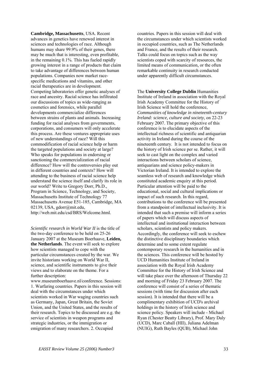**Cambridge, Massachusetts**, USA. Recent advances in genetics have renewed interest in sciences and technologies of race. Although humans may share 99.9% of their genes, there may be much that is interesting, even profitable, in the remaining 0.1%. This has fueled rapidly growing interest in a range of products that claim to take advantage of differences between human populations. Companies now market racespecific medications and vitamins, and other racial therapeutics are in development. Competing laboratories offer genetic analyses of race and ancestry. Racial science has infiltrated our discussions of topics as wide-ranging as cosmetics and forensics, while parallel developments commercialize differences between strains of plants and animals. Increasing funding for racial analyses from governments, corporations, and consumers will only accelerate this process. Are these ventures appropriate uses of new understandings of race? Will this commodification of racial science help or harm the targeted populations and society at large? Who speaks for populations in endorsing or sanctioning the commercialization of racial difference? How will the controversies play out in different countries and contexts? How will attending to the business of racial science help understand the science itself and clarify its role in our world? Write to Gregory Dorr, Ph.D., Program in Science, Technology, and Society, Massachusetts Institute of Technology 77 Massachusetts Avenue E51-185, Cambridge, MA 02139, USA, gdorr@mit.edu, http://web.mit.edu/csd/BRS/Welcome.html.

*Scientific research in World War II* is the title of the two-day conference to be held on 25-26 January 2007 at the Museum Boerhaave, **Leiden, the Netherlands**. The event will seek to explore how scientists managed to cope with the particular circumstances created by the war. We invite historians working on World War II, science, and scientific instruments to give their views and to elaborate on the theme. For a further description:

www.museumboerhaave.nl/conference. Sessions: 1. Warfaring countries. Papers in this session will deal with the circumstances under which scientists worked in War waging countries such as Germany, Japan, Great Britain, the Soviet Union, and the United States, and the results of their research. Topics to be discussed are e.g. the service of scientists in weapon programs and strategic industries, or the immigration or emigration of many researchers. 2. Occupied

countries. Papers in this session will deal with the circumstances under which scientists worked in occupied countries, such as The Netherlands and France, and the results of their research. Talks could focus on topics such as the way scientists coped with scarcity of resources, the limited means of communication, or the often remarkable continuity in research conducted under apparently difficult circumstances.

The **University College Dublin** Humanities Institute of Ireland in association with the Royal Irish Academy Committee for the History of Irish Science will hold the conference, *Communities of knowledge in nineteenth-century Ireland: science, culture and society*, on 22-23 February 2007. The primary objective of this conference is to elucidate aspects of the intellectual richness of scientific and antiquarian activity in Ireland during the course of the nineteenth century. It is not intended to focus on the history of Irish science per se. Rather, it will seek to cast light on the complex and varied interactions between scholars of science, antiquarians and science policy-makers in Victorian Ireland. It is intended to explore the seamless web of research and knowledge which constituted academic enquiry at this period. Particular attention will be paid to the educational, social and cultural implications or impact of such research. In this regard, contributions to the conference will be presented from a standpoint of intellectual inclusivity. It is intended that such a premise will inform a series of papers which will discuss aspects of intellectual and institutional interaction between scholars, scientists and policy makers. Accordingly, the conference will seek to eschew the distinctive disciplinary boundaries which determine and to some extent regulate contemporary research in the humanities and in the sciences. This conference will be hosted by UCD Humanities Institute of Ireland in association with the Royal Irish Academy Committee for the History of Irish Science and will take place over the afternoon of Thursday 22 and morning of Friday 23 February 2007. The conference will consist of a series of thematic sessions (with time for discussion after each session). It is intended that there will be a complimentary exhibition of UCD's archival holdings in the history of Irish science and science policy. Speakers will include - Michael Ryan (Chester Beatty Library), Prof. Mary Daly (UCD), Marc Caball (HII), Juliana Adelman (NUIG), Ruth Bayles (QUB), Michael John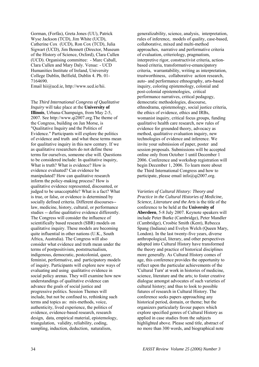Gorman, (Forfás), Greta Jones (UU), Patrick Wyse Jackson (TCD), Jim White (UCD), Catherine Cox (UCD), Ron Cox (TCD), Julia Sigwart (UCD), Jim Bennett (Director, Museum of the History of Science, Oxford), Clara Cullen (UCD). Organising committee: - Marc Caball, Clara Cullen and Mary Daly. Venue: - UCD Humanities Institute of Ireland, University College Dublin, Belfield, Dublin 4. Ph. 01- 7164690.

Email hii@ucd.ie, http://www.ucd.ie/hii.

The *Third International Congress of Qualitative Inquiry* will take place at the **University of Illinois**, Urbana-Champaign, from May 2-5, 2007. See http://www.qi2007.org.The theme of the Congress, building on Jan Morse, is "Qualitative Inquiry and the Politics of Evidence." Participants will explore the politics of evidence and truth and what these terms mean for qualitative inquiry in this new century. If we as qualitative researchers do not define these terms for ourselves, someone else will. Questions to be considered include: In qualitative inquiry, What is truth? What is evidence? How is evidence evaluated? Can evidence be manipulated? How can qualitative research inform the policy-making process? How is qualitative evidence represented, discounted, or judged to be unacceptable? What is a fact? What is true, or false, or evidence is determined by socially defined criteria. Different discourses- law, medicine, history, cultural, or performance studies -- define qualitative evidence differently. The Congress will consider the influence of scientifically based research (SBR) models on qualitative inquiry. These models are becoming quite influential in other nations (U.K., South Africa, Australia). The Congress will also consider what evidence and truth mean under the terms of postpositivism, poststructualism, indigenous, democratic, postcolonial, queer, feminist, performative, and participatory models of inquiry. Participants will explore new ways of evaluating and using qualitative evidence in social policy arenas. They will examine how new understandings of qualitative evidence can advance the goals of social justice and progressive politics. Session Themes will include, but not be confined to, rethinking such terms and topics as: mix-methods, voice, authenticity, lived experience, the politics of evidence, evidence-based research, research design, data, empirical material, epistemology, triangulation, validity, reliability, coding, sampling, induction, deduction, naturalism,

generalizability, science, analysis, interpretation, rules of inference, models of quality, case-based, collaborative, mixed and multi-method approaches, narrative and performative criteria of evaluation, criteriology, pragmatism, interpretive rigor, constructivist criteria, actionbased criteria, transformative-emancipatory criteria, warrantability, writing as interpretation, trustworthiness, collaborative action research, auto- and performance ethnography, arts-based inquiry, coloring epistemology, colonial and post-colonial epistemologies, critical performance narratives, critical pedagogy, democratic methodologies, discourse, ethnodrama, epistemology, social justice criteria, the ethics of evidence, ethics and IRBs, womanist inquiry, critical focus groups, funding qualitative health care research, new rules of evidence for grounded theory, advocacy as method, qualitative evaluation inquiry, new technologies of evidence and inference. We invite your submission of paper, poster and session proposals. Submissions will be accepted online only from October 1 until December 1 2006. Conference and workshop registration will begin December 1, 2006. To learn more about the Third International Congress and how to participate, please email  $info(\partial q)$  (2007.org.

*Varieties of Cultural History: Theory and Practice in the Cultural Histories of Medicine, Science, Literature and the Arts* is the title of the conference to be held at the **University of Aberdeen**, 5-8 July 2007. Keynote speakers will include Peter Burke (Cambridge), Peter Mandler (Cambridge), Crosbie Smith (Kent), Rebecca Spang (Indiana) and Evelyn Welch (Queen Mary, London). In the last twenty-five years, diverse anthropological, literary, and other perspectives adopted into Cultural History have transformed the theory and practice of historical disciplines more generally. As Cultural History comes of age, this conference provides the opportunity to reflect upon the particular achievements of the 'Cultural Turn' at work in histories of medicine, science, literature and the arts; to foster creative dialogue amongst advocates of such varieties of cultural history; and thus to look to possible futures of research in Cultural History. The conference seeks papers approaching any historical period, domain, or theme; but the organizers particularly favour papers which explore specified genres of Cultural History as applied in case studies from the subjects highlighted above. Please send title, abstract of no more than 300 words, and biographical note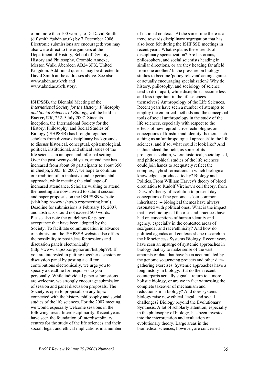of no more than 100 words, to Dr David Smith  $(d.f.smith@abdn.ac.uk)$  by 7 December 2006. Electronic submissions are encouraged; you may also write direct to the organizers at the Department of History, School of Divinity, History and Philosophy, Crombie Annexe, Meston Walk, Aberdeen AB24 3FX, United Kingdom. Additional queries may be directed to David Smith at the addresses above. See also www.abdn.ac.uk/ch and www.abnd.ac.uk/history.

ISHPSSB, the Biennial Meeting of the *International Society for the History, Philosophy and Social Sciences of Biology*, will be held in **Exeter, UK**, 252-9 July 2007. Since its inception, the International Society for the History, Philosophy, and Social Studies of Biology (ISHPSSB) has brought together scholars from diverse disciplinary backgrounds to discuss historical, conceptual, epistemological, political, institutional, and ethical issues of the life sciences in an open and informal setting. Over the past twenty-odd years, attendance has increased from about 60 participants to about 350 in Guelph, 2005. In 2007, we hope to continue our tradition of an inclusive and experimental approach, while meeting the challenge of increased attendance. Scholars wishing to attend the meeting are now invited to submit session and paper proposals on the ISHPSSB website (visit http://www.ishpssb.org/meeting.html). Deadline for submissions is February 15, 2007, and abstracts should not exceed 500 words. Please also note the guidelines for paper acceptance that have been adopted by the Society. To facilitate communication in advance of submission, the ISHPSSB website also offers the possibility to post ideas for sessions and discussion panels electronically (http://www.ishpssb.org/phorum/list.php?9). If you are interested in putting together a session or discussion panel by posting a call for contributions electronically, we urge you to specify a deadline for responses to you personally. While individual paper submissions are welcome, we strongly encourage submission of session and panel discussion proposals. The Society is open to proposals on any topic connected with the history, philosophy and social studies of the life sciences. For the 2007 meeting, we would especially welcome sessions in the following areas: Interdisciplinarity. Recent years have seen the foundation of interdisciplinary centres for the study of the life sciences and their social, legal, and ethical implications in a number

of national contexts. At the same time there is a trend towards disciplinary segregation that has also been felt during the ISHPSSB meetings in recent years. What explains these trends of disciplinary specialization? Are historians, philosophers, and social scientists heading in similar directions, or are they heading far afield from one another? Is the pressure on biology studies to become 'policy relevant' acting against or actually encouraging specialization? Why do history, philosophy, and sociology of science tend to drift apart, while disciplines become less and less important in the life sciences themselves? Anthropology of the Life Sciences. Recent years have seen a number of attempts to employ the empirical methods and the conceptual tools of social anthropology in the study of the life sciences, especially with respect to the effects of new reproductive technologies on conceptions of kinship and identity. Is there such a thing as an 'anthropological approach' to the life sciences, and if so, what could it look like? And is this indeed the field, as some of its protagonists claim, where historical, sociological, and philosophical studies of the life sciences could join hands to adequately reflect the complex, hybrid formations in which biological knowledge is produced today? Biology and Politics. From William Harvey's theory of blood circulation to Rudolf Virchow's cell theory, from Darwin's theory of evolution to present day conceptions of the genome as 'our common inheritance' -- biological themes have always resonated with political ones. What is the impact that novel biological theories and practices have had on conceptions of human identity and agency, especially in the contested areas of sex/gender and race/ethnicity? And how do political agendas and contexts shape research in the life sciences? Systems Biology. Recent years have seen an upsurge of systemic approaches in biology that try to make sense of the vast amounts of data that have been accumulated by the genome sequencing projects and other datagathering exercises. Systemic approaches have a long history in biology. But do their recent counterparts actually signal a return to a more holistic biology, or are we in fact witnessing the complete takeover of mechanism and reductionism in biology? And does systems biology raise new ethical, legal, and social challenges? Biology beyond the Evolutionary Synthesis. A lot of scholarly attention, especially in the philosophy of biology, has been invested into the interpretation and evaluation of evolutionary theory. Large areas in the biomedical sciences, however, are concerned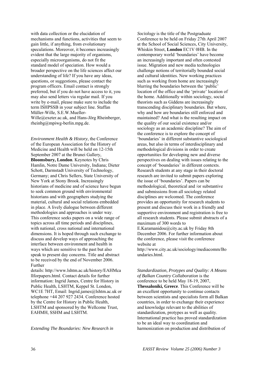with data collection or the elucidation of mechanisms and functions, activities that seem to gain little, if anything, from evolutionary speculations. Moreover, it becomes increasingly evident that the large majority of organisms, especially microorganisms, do not fit the standard model of speciation. How would a broader perspective on the life sciences affect our understanding of life? If you have any ideas, questions, or suggestions, please contact the program officers. Email contact is strongly preferred, but if you do not have access to it, you may also send letters via regular mail. If you write by e-mail, please make sure to include the term ISHPSSB in your subject line. Staffan Müller-Wille, S.E.W.Mueller-Wille@exeter.ac.uk, and Hans-Jörg Rheinberger, rheinbg@mpiwg-berlin.mpg.de.

*Environment Health & History*, the Conference of the European Association for the History of Medicine and Health will be held on 12-15th September 2007 at the Brunei Gallery, **Bloomsbury, London**. Keynotes by Chris Hamlin, Notre Dame University, Indiana; Dieter Schott, Darmstadt University of Technology, Germany; and Chris Sellers, State University of New York at Stony Brook. Increasingly historians of medicine and of science have begun to seek common ground with environmental historians and with geographers studying the material, cultural and social relations embedded in place. A lively dialogue between different methodologies and approaches is under way. This conference seeks papers on a wide range of topics across all time periods and disciplines, with national, cross national and international dimensions. It is hoped through such exchange to discuss and develop ways of approaching the interface between environment and health in ways which are sensitive to the past but also speak to present day concerns. Title and abstract to be received by the end of November 2006. Further

details: http://www.lshtm.ac.uk/history/EAHMca llforpapers.html. Contact details for further information: Ingrid James, Centre for History in Public Health, LSHTM, Keppel St. London, WC1E 7HT, Email: Ingrid.james@lshtm.ac.uk or telephone +44 207 927 2434. Conference hosted by the Centre for History in Public Health, LSHTM and sponsored by the Wellcome Trust, EAHMH, SSHM and LSHTM.

*Extending The Boundaries: New Research in* 

*Sociology* is the title of the Postgraduate Conference to be held on Friday 27th April 2007 at the School of Social Sciences, City University, Whiskin Street, **London** EC1V 0HB. In the contemporary world 'boundaries' have become an increasingly important and often contested issue. Migration and new media technologies challenge notions of territorially bounded social and cultural identities. New working practices such as working from home are increasingly blurring the boundaries between the 'public' location of the office and the 'private' location of the home. Additionally within sociology, social theorists such as Giddens are increasingly transcending disciplinary boundaries. But where, why and how are boundaries still enforced and maintained? And what is the resulting impact on the quality of our social existence and/or sociology as an academic discipline? The aim of the conference is to explore the concept of 'boundaries' in different substantive sociological areas, but also in terms of interdisciplinary and methodological divisions in order to create opportunities for developing new and diverse perspectives on dealing with issues relating to the concept of 'boundaries' in different contexts. Research students at any stage in their doctoral research are invited to submit papers exploring the issue of 'boundaries'. Papers can be methodological, theoretical and /or substantive and submissions from all sociology related disciplines are welcomed. The conference provides an opportunity for research students to present and discuss their work in a friendly and supportive environment and registration is free to all research students. Please submit abstracts of a maximum of 300 words to E.Karamanidou@city.ac.uk by Friday 8th

December 2006. For further information about the conference, please visit the conference website at

http://www.city.ac.uk/sociology/mediacomm/Bo undaries.html.

*Standardization, Protypes and Quality: A Means of Balkan Country Collaboration* is the conference to be held May 18-19, 2007, **Thessaloniki, Greece**. This Conference will be an excellent opportunity to continue contacts between scientists and specialists form all Balkan countries, in order to exchange their experience and knowledge relevant to the abilities of standardization, protypes as well as quality. International practice has proved standardization to be an ideal way to coordination and harmonization on production and distribution of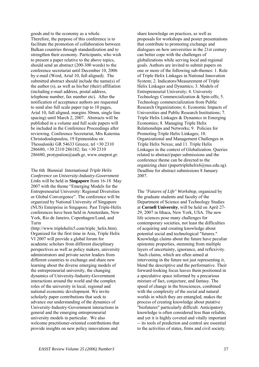goods and to the economy as a whole. Therefore, the purpose of this conference is to facilitate the promotion of collaboration between Balkan countries through standardization and to strengthen their economy. Participants, who wish to present a paper relative to the above topics, should send an abstract (200-300 words) to the conference secretariat until December 10, 2006 by e-mail (Word, Arial 10, full aligned). The submitted abstract should include the name(s) of the author (s), as well as his/her (their) affiliation (including e-mail address, postal address, telephone number, fax number etc). After the notification of acceptance authors are requested to send also full scale paper (up to 10 pages, Arial 10, full aligned, margins 30mm, single line spacing) until March 2, 2007. Abstracts will be published in a volume and full scale papers will be included in the Conference Proceedings after reviewing. Conference Secretariat, Mrs Katerina Christodoulopoulou, 19 Epimenidou str. Thessaloniki GR 54633 Greece, tel +30 2310 286680, +30 2310 286182; fax +30 2310 286680, protypation@auth.gr, www.eneprot.gr.

The 6th Biennial International *Triple Helix Conference on University-Industry-Government Links* will be held in **Singapore** from 16-18 May 2007 with the theme "Emerging Models for the Entrepreneurial University: Regional Diversities or Global Convergence". The conference will be organized by National University of Singapore (NUS) Enterprise in Singapore. Past Triple-Helix conferences have been held in Amsterdam, New York, Rio de Janeiro, Copenhagen/Lund, and Turin

(http://www.triplehelix5.com/triple\_helix.htm). Organized for the first time in Asia, Triple Helix VI 2007 will provide a global forum for academic scholars from different disciplinary perspectives as well as policy makers, university administrators and private sector leaders from different countries to exchange and share new learning about the diverse emerging models of the entrepreneurial university, the changing dynamics of University-Industry-Government interactions around the world and the complex roles of the university in local, regional and national economic development. We invite scholarly paper contributions that seek to advance our understanding of the dynamics of University-Industry-Government interactions in general and the emerging entrepreneurial university models in particular. We also welcome practitioner-oriented contributions that provide insights on new policy innovations and

share knowledge on practices, as well as proposals for workshops and poster presentations that contribute to promoting exchange and dialogues on how universities in the 21st century can better cope with the challenges of globalizations while serving local and regional goals. Authors are invited to submit papers on one or more of the following sub-themes: 1. Role of Triple Helix Linkages in National Innovation System; 2. Indicators/Measurement of Triple Helix Linkages and Dynamics; 3. Models of Entrepreneurial University; 4. University Technology Commercialization & Spin-offs; 5. Technology commercialization from Public Research Organizations; 6. Economic Impacts of Universities and Public Research Institutions; 7. Triple Helix Linkages & Dynamics in Emerging Economies; 8. Managing Triple Helix Relationships and Networks; 9. Policies for Promoting Triple Helix Linkages; 10. Organizational and Management Challenges in Triple Helix Nexus; and 11. Triple Helix Linkages in the context of Globalization. Queries related to abstract/paper submissions and the conference theme can be directed to the organizing chair (papertriplehelix6@nus.edu.sg). Deadline for abstract submissions 8 January 2007.

The *"Futures of Life" Workshop*, organized by the graduate students and faculty of the Department of Science and Technology Studies at **Cornell University**, will be held on April 27- 29, 2007 in Ithaca, New York, USA. The new life sciences pose many challenges for contemporary societies, not least the difficulties of acquiring and creating knowledge about potential social and technological "futures." Knowledge claims about the future have peculiar epistemic properties, stemming from multiple layers of uncertainty, ignorance, and reflexivity. Such claims, which are often aimed at intervening in the future not just representing it, blend the descriptive and the performative. Their forward-looking focus leaves them positioned in a speculative space informed by a precarious mixture of fact, conjecture, and fantasy. The speed of change in the biosciences, combined with the complexity of the social and natural worlds in which they are entangled, makes the process of creating knowledge about putative "biofutures" particularly difficult. Anticipatory knowledge is often considered less than reliable, and yet it is highly coveted and vitally important -- its tools of prediction and control are essential to the activities of states, firms and civil society.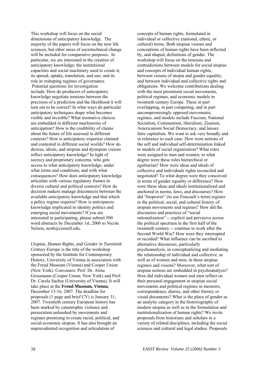This workshop will focus on the social dimensions of anticipatory knowledge. The majority of the papers will focus on the new life sciences, but other areas of sociotechnical change will be included for comparative purposes. In particular, we are interested in the creation of anticipatory knowledge; the institutional capacities and social machinery used to create it; its spread, uptake, translation, and use; and its role in reshaping regimes of governance. Potential questions for investigation include: How do producers of anticipatory knowledge negotiate tensions between the precision of a prediction and the likelihood it will turn out to be correct? In what ways do particular anticipatory techniques shape what becomes visible and invisible? What normative choices are embedded in different machineries of anticipation? How is the credibility of claims about the future of life assessed in different contexts? How is anticipatory expertise claimed and contested in different social worlds? How do desires, ideals, and utopian and dystopian visions inflect anticipatory knowledge? In light of secrecy and proprietary concerns, who gets access to what anticipatory knowledge, under what terms and conditions, and with what consequences? How does anticipatory knowledge articulate with various regulatory frames in diverse cultural and political contexts? How do decision makers manage disconnects between the available anticipatory knowledge and that which a policy regime requires? How is anticipatory knowledge implicated in identity politics and emerging social movements? If you are interested in participating, please submit 500 word abstracts by December 1st, 2006 to Nicole Nelson, ncn6@cornell.edu.

*Utopias, Human Rights, and Gender in Twentieth Century Europe* is the title of the workshop sponsored by the Institute for Contemporary History, University of Vienna in association with the Freud Museum (Vienna) and Cooper Union (New York). Conveners: Prof. Dr. Atina Grossmann (Cooper Union, New York) and Prof. Dr. Carola Sachse (University of Vienna). It will take place at the **Freud Museum, Vienna**, December 13-16, 2007. The deadline for proposals (1 page and brief CV) is January 31, 2007. Twentieth century European history has been marked by catastrophic violence and persecution unleashed by movements and regimes promising to create racial, political, and social-economic utopias. It has also brought an unprecedented recognition and articulation of

concepts of human rights, formulated in individual or collective (national, ethnic, or cultural) terms. Both utopian visions and conceptions of human rights have been inflected by, and shaped, definitions of gender. The workshop will focus on the tensions and contradictions between models for social utopias and concepts of individual human rights, between visions of utopia and gender equality, and between individual and collective rights and obligations. We welcome contributions dealing with the most prominent social movements, political regimes, and economic models in twentieth century Europe. These in part overlapping, in part competing, and in part uncompromisingly opposed movements, regimes, and models include Fascism, National Socialism, Communism, liberalism, Zionism, Americanism Social Democracy, and laissez faire capitalism. We want to ask very broadly and in reference to each case: How were notions of the self and individual self-determination linked to models of social organization? What roles were assigned to men and women; to what degree were these roles hierarchical or egalitarian? How were ideas and ideals of collective and individuals rights reconciled and negotiated? To what degree were they conceived in terms of gender equality or difference? How were these ideas and ideals institutionalized and anchored in norms, laws, and discourses? How did "biopower" (to use Foucault's term) register in the political, social, and cultural history of utopian movements and regimes? How did the discourses and practices of "social rationalization" -- explicit and pervasive across the political spectrum in the first half of the twentieth century -- continue to work after the Second World War? How were they interrupted or recoded? What influence can be ascribed to alternative discourses, particularly psychoanalysis, in conceptualizing and mediating the relationship of individual and collective, as well as of women and men, in these utopian regimes and visions? Moreover, what sort of utopian notions are embedded in psychoanalysis? How did individual women and men reflect on their personal engagement in utopian social movements and political regimes in memoirs, correspondence, diaries, and other literary or visual documents? What is the place of gender as an analytic category in the historiography of modern utopias as well as in the formulation and institutionalization of human rights? We invite proposals from historians and scholars in a variety of related disciplines, including the social sciences and cultural and legal studies. Proposals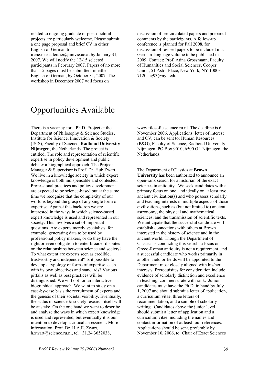related to ongoing graduate or post-doctoral projects are particularly welcome. Please submit a one page proposal and brief CV in either English or German to:

irene.maria.leitner@univie.ac.at by January 31, 2007. We will notify the 12-15 selected participants in February 2007. Papers of no more than 15 pages must be submitted, in either English or German, by October 31, 2007. The workshop in December 2007 will focus on

discussion of pre-circulated papers and prepared comments by the participants. A follow-up conference is planned for Fall 2008, for discussion of revised papers to be included in a German-language volume to be published in 2009. Contact: Prof. Atina Grossmann, Faculty of Humanities and Social Sciences, Cooper Union, 51 Astor Place, New York, NY 10003- 7120, ag93@nyu.edu.

# Opportunities Available

There is a vacancy for a Ph.D. Project at the Department of Philosophy & Science Studies, Institute for Science, Innovation & Society (ISIS), Faculty of Science, **Radboud University Nijmegen**, the Netherlands. The project is entitled, The role and representation of scientific expertise in policy development and public debate: a biographical approach. The Project Manager & Supervisor is Prof. Dr. Hub Zwart. We live in a knowledge society in which expert knowledge is both indispensable and contested. Professional practices and policy development are expected to be science-based but at the same time we recognize that the complexity of our world is beyond the grasp of any single form of expertise. Against this backdrop we are interested in the ways in which science-based expert knowledge is used and represented in our society. This involves a set of important questions. Are experts merely specialists, for example, generating data to be used by professional policy makers, or do they have the right or even obligation to enter broader disputes on the relationships between science and society? To what extent are experts seen as credible, trustworthy and independent? Is it possible to develop a typology of forms of expertise, each with its own objectives and standards? Various pitfalls as well as best practices will be distinguished. We will opt for an interactive, biographical approach. We want to study on a case-by-case basis the recruitment of experts and the genesis of their societal visibility. Eventually, the status of science & society research itself will be at stake. On the one hand we want to describe and analyze the ways in which expert knowledge is used and represented, but eventually it is our intention to develop a critical assessment. More information: Prof. Dr. H.A.E. Zwart, h.zwart@science.ru.nl, tel  $+31.24.3652038$ ,

www.filosofie.science.ru.nl. The deadline is 6 November 2006. Applications: letter of interest and CV, can be sent to: Human Resources (P&O), Faculty of Science, Radboud University Nijmegen. PO Box 9010, 6500 GL Nijmegen, the **Netherlands** 

The Department of Classics at **Brown University** has been authorized to announce an open-rank search for a historian of the exact sciences in antiquity. We seek candidates with a primary focus on one, and ideally on at least two, ancient civilization(s) and who possess scholarly and teaching interests in multiple aspects of those civilizations, such as (but not limited to) ancient astronomy, the physical and mathematical sciences, and the transmission of scientific texts. We anticipate that the successful candidate will establish connections with others at Brown interested in the history of science and in the ancient world. Though the Department of Classics is conducting this search, a focus on Greco-Roman antiquity is not a requirement, and a successful candidate who works primarily in another field or fields will be appointed to the Department most closely aligned with his/her interests. Prerequisites for consideration include evidence of scholarly distinction and excellence in teaching, commensurate with rank. Junior candidates must have the Ph.D. in hand by July 1, 2007 and should submit a letter of application, a curriculum vitae, three letters of recommendation, and a sample of scholarly writing. Candidates above the junior level should submit a letter of application and a curriculum vitae, including the names and contact information of at least four references. Applications should be sent, preferably by November 10, 2006, to: Chair of Exact Sciences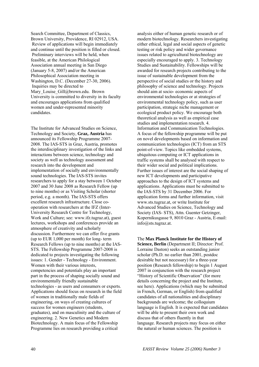Search Committee, Department of Classics, Brown University, Providence, RI 02912, USA. Review of applications will begin immediately and continue until the position is filled or closed. Preliminary interviews will be held, when feasible, at the American Philological Association annual meeting in San Diego (January 5-8, 2007) and/or the American Philosophical Association meeting in Washington, D.C. (December 27-30, 2006). Inquiries may be directed to Mary Louise Gill@brown.edu. Brown University is committed to diversity in its faculty and encourages applications from qualified women and under-represented minority candidates.

The Institute for Advanced Studies on Science, Technology and Society, **Graz, Austria** has announced its Fellowship Programme 2007- 2008. The IAS-STS in Graz, Austria, promotes the interdisciplinary investigation of the links and interactions between science, technology and society as well as technology assessment and research into the development and implementation of socially and environmentally sound technologies. The IAS-STS invites researchers to apply for a stay between 1 October 2007 and 30 June 2008 as Research Fellow (up to nine months) or as Visiting Scholar (shorter period, e.g. a month). The IAS-STS offers excellent research infrastructure. Close cooperation with researchers at the IFZ (Inter-University Research Centre for Technology, Work and Culture; see: www.ifz.tugraz.at), guest lectures, workshops and conferences provide an atmosphere of creativity and scholarly discussion. Furthermore we can offer five grants (up to EUR 1,000 per month) for long- term Research Fellows (up to nine months) at the IAS-STS. The Fellowship Programme 2007-2008 is dedicated to projects investigating the following issues: 1. Gender - Technology - Environment. Women with their various interests, competencies and potentials play an important part in the process of shaping socially sound and environmentally friendly sustainable technologies - as users and consumers or experts. Applications should focus on research in the field of women in traditionally male fields of engineering, on ways of creating cultures of success for women engineers (students, graduates), and on masculinity and the culture of engineering. 2. New Genetics and Modern Biotechnology. A main focus of the Fellowship Programme lies on research providing a critical

analysis either of human genetic research or of modern biotechnology. Researchers investigating either ethical, legal and social aspects of genetic testing or risk policy and wider governance issues related to agricultural biotechnology are especially encouraged to apply. 3. Technology Studies and Sustainability. Fellowships will be awarded for research projects contributing to the issue of sustainable development from the perspective of social studies or the history and philosophy of science and technology. Projects should aim at socio- economic aspects of environmental technologies or at strategies of environmental technology policy, such as user participation, strategic niche management or ecological product policy. We encourage both theoretical analysis as well as empirical case studies and implementation research. 4. Information and Communication Technologies. A focus of the fellowship programme will be put on novel developments based on information and communication technologies (ICT) from an STS point-of-view. Topics like embedded systems, ubiquitous computing or ICT applications in traffic systems shall be analysed with respect to their wider social and political implications. Further issues of interest are the social shaping of new ICT developments and participative approaches to the design of ICT systems and applications. Applications must be submitted to the IAS-STS by 31 December 2006. For application forms and further information, visit www.sts.tugraz.at, or write Institute for Advanced Studies on Science, Technology and Society (IAS- STS), Attn. Guenter Getzinger, Kopernikusgasse 9, 8010 Graz - Austria, E-mail: info@sts.tugraz.at.

The **Max Planck Institute for the History of Science, Berlin** (Department II; Director: Prof. Lorraine Daston) seeks an outstanding junior scholar (Ph.D. no earlier than 2001, postdoc desirable but not necessary) for a three-year position (Research fellowship) to begin 1 August 2007 in conjunction with the research project "History of Scientific Observation" (for more details concerning the project and the Institute, see here). Applications (which may be submitted in French, German, or English) from qualified candidates of all nationalities and disciplinary backgrounds are welcome; the colloquium language is English. It is expected that candidates will be able to present their own work and discuss that of others fluently in that language. Research projects may focus on either the natural or human sciences. The position is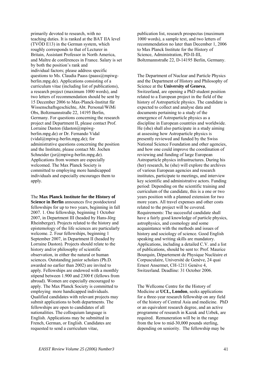primarily devoted to research, with no teaching duties. It is ranked at the BAT IIA level (TVÖD E13) in the German system, which roughly corresponds to that of Lecturer in Britain, Assistant Professor in North America, and Maître de conférences in France. Salary is set by both the position's rank and individual factors; please address specific questions to Ms. Claudia Paass (paass@mpiwgberlin.mpg.de). Applications consisting of a curriculum vitae (including list of publications), a research project (maximum 1000 words), and two letters of recommendation should be sent by 15 December 2006 to Max-Planck-Institut für Wissenschaftsgeschichte, Abt. Personal/WiMi Obs, Boltzmannstraße 22, 14195 Berlin, Germany. For questions concerning the research project and Department II, please contact Prof. Lorraine Daston (ldaston@mpiwgberlin.mpg.de) or Dr. Fernando Vidal (vidal@mpiwg-berlin.mpg.de); for administrative questions concerning the position and the Institute, please contact Mr. Jochen Schneider (jsr@mpiwg-berlin.mpg.de). Applications from women are especially welcomed. The Max Planck Society is committed to employing more handicapped individuals and especially encourages them to apply.

The **Max Planck Institute for the History of Science in Berlin** announces five postdoctoral fellowships for up to two years, beginning in fall 2007. 1. One fellowship, beginning 1 October 2007, in Department III (headed by Hans-Jörg Rheinberger). Projects related to the history and epistemology of the life sciences are particularly welcome. 2. Four fellowships, beginning 1 September 2007, in Department II (headed by Lorraine Daston). Projects should relate to the history and/or philosophy of scientific observation, in either the natural or human sciences. Outstanding junior scholars (Ph.D. awarded no earlier than 2002) are invited to apply. Fellowships are endowed with a monthly stipend between 1.900 and 2300  $\epsilon$  (fellows from abroad). Women are especially encouraged to apply. The Max Planck Society is committed to employing more handicapped individuals. Qualified candidates with relevant projects may submit applications to both departments. The fellowships are open to candidates of all nationalities. The colloquium language is English. Applications may be submitted in French, German, or English. Candidates are requested to send a curriculum vitae,

publication list, research prospectus (maximum 1000 words), a sample text, and two letters of recommendation no later than December 1, 2006 to Max Planck Institute for the History of Science, Administration, PD-II-III, Boltzmannstraße 22, D-14195 Berlin, Germany.

The Department of Nuclear and Particle Physics and the Department of History and Philosophy of Science at the **University of Geneva**, Switzerland, are opening a PhD student position related to a European project in the field of the history of Astroparticle physics. The candidate is expected to collect and analyse data and documents pertaining to a study of the emergence of Astroparticle physics as a discipline in European countries and worldwide. He (she) shall also participate in a study aiming at assessing how Astroparticle physics is presently reviewed and funded by the Swiss National Science Foundation and other agencies, and how one could improve the coordination of reviewing and funding of large European Astroparticle physics infrastructures. During his (her) research, he (she) will explore the archives of various European agencies and research institutes, participate to meetings, and interview key scientific and administrative actors. Funding period: Depending on the scientific training and curriculum of the candidate, this is a one or two years position with a planned extension for two more years. All travel expenses and other costs related to the project will be covered. Requirements: The successful candidate shall have a fairly good knowledge of particle physics, astrophysics, and cosmology and some acquaintance with the methods and issues of history and sociology of science. Good English speaking and writing skills are mandatory. Applications, including a detailed C.V. and a list of publications, should be sent to: Prof. Maurice Bourquin, Département de Physique Nucléaire et Corpusculaire, Université de Genève, 24 quai Ernest Ansermet, CH-1211 Genève 4, Switzerland. Deadline: 31 October 2006.

The Wellcome Centre for the History of Medicine at **UCL, London**, seeks applications for a three-year research fellowship on any field of the history of Central Asia and medicine. PhD or an equivalent research degree, and an active programme of research in Kazak and Uzbek, are required. Remuneration will be in the range from the low to mid-30,000 pounds sterling, depending on seniority. The fellowship may be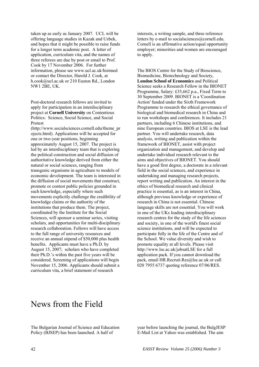taken up as early as January 2007. UCL will be offering language studies in Kazak and Uzbek, and hopes that it might be possible to raise funds for a longer term academic post. A letter of application, curriculum vita, and the names of three referees are due by post or email to Prof. Cook by 17 November 2006. For further information, please see www.ucl.ac.uk/histmed or contact the Director, Harold J. Cook, at h.cook@ucl.ac.uk or 210 Euston Rd., London NW1 2BE, UK.

Post-doctoral research fellows are invited to apply for participation in an interdisciplinary project at **Cornell University** on Contentious Politics: Science, Social Science, and Social Protest

(http://www.socialsciences.cornell.edu/theme\_pr ojects.html). Applications will be accepted for one or two-year positions, beginning approximately August 15, 2007. The project is led by an interdisciplinary team that is exploring the political construction and social diffusion of authoritative knowledge derived from either the natural or social sciences, ranging from transgenic organisms in agriculture to models of economic development. The team is interested in the diffusion of social movements that construct, promote or contest public policies grounded in such knowledge, especially where such movements explicitly challenge the credibility of knowledge claims or the authority of the institutions that produce them. The project, coordinated by the Institute for the Social Sciences, will sponsor a seminar series, visiting scholars, and opportunities for multi-disciplinary research collaboration. Fellows will have access to the full range of university resources and receive an annual stipend of \$50,000 plus health benefits. Applicants must have a Ph.D. by August 15, 2007; scholars who have completed their Ph.D.'s within the past five years will be considered. Screening of applications will begin November 15, 2006. Applicants should submit a curriculum vita, a brief statement of research

interests, a writing sample, and three reference letters by e-mail to socialsciences@cornell.edu. Cornell is an affirmative action/equal opportunity employer; minorities and women are encouraged to apply.

The BIOS Centre for the Study of Bioscience, Biomedicine, Biotechnology and Society, **London School of Economics** and Political Science seeks a Research Fellow in the BIONET Programme, Salary: £35,662 p.a., Fixed Term to 30 September 2009. BIONET is a 'Coordination Action' funded under the Sixth Framework Programme to research the ethical governance of biological and biomedical research in China and to run workshops and conferences. It includes 21 partners, including 6 Chinese institutions, and nine European countries. BIOS at LSE is the lead partner. You will undertake research, data analysis, writing and publication within the framework of BIONET, assist with project organization and management, and develop and undertake individual research relevant to the aims and objectives of BIONET. You should have a good first degree, a doctorate in a relevant field in the social sciences, and experience in undertaking and managing research projects, report writing and publication. An interest in the ethics of biomedical research and clinical practice is essential, as is an interest in China, although previous knowledge or experience of research in China is not essential. Chinese language skills are not essential. You will work in one of the UKs leading interdisciplinary research centres for the study of the life sciences and society, in one of the world's finest social science institutions, and will be expected to participate fully in the life of the Centre and of the School. We value diversity and wish to promote equality at all levels. Please visit http://www.lse.ac.uk/jobsatLSE for a full application pack. If you cannot download the pack, email HR.Recruit.Res@lse.ac.uk or call 020 7955 6737 quoting reference 07/06/RES.

### News from the Field

The Bulgarian Journal of Science and Education Policy (BJSEP) has been launched. A half of

year before launching the journal, the BulgJESP E-Mail List at Yahoo was established. The aim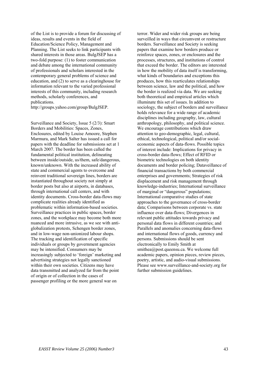of the List is to provide a forum for discussing of ideas, results and events in the field of Education/Science Policy, Management and Planning. The List seeks to link participants with shared interests in those areas. BulgJSEP has a two-fold purpose: (1) to foster communication and debate among the international community of professionals and scholars interested in the contemporary general problems of science and education, and (2) to serve as a clearinghouse for information relevant to the varied professional interests of this community, including research methods, scholarly conferences, and publications.

http://groups.yahoo.com/group/BulgJSEP.

Surveillance and Society, Issue 5 (2/3): Smart Borders and Mobilities: Spaces, Zones, Enclosures, edited by Louise Amoore, Stephen Marmura, and Mark Salter has issued a call for papers with the deadline for submissions set at 1 March 2007. The border has been called the fundamental political institution, delineating between inside/outside, us/them, safe/dangerous, known/unknown. With the increased ability of state and commercial agents to overcome and reinvent traditional sovereign lines, borders are instantiated throughout society not simply at border posts but also at airports, in databases, through international call centers, and with identity documents. Cross-border data-flows may complicate realities already identified as problematic within information-based societies. Surveillance practices in public spaces, border zones, and the workplace may become both more nuanced and more intrusive, as we see with antiglobalization protests, Schengen border zones, and in low-wage non-unionized labour shops. The tracking and identification of specific individuals or groups by government agencies may be intensified. Consumers may be increasingly subjected to 'foreign' marketing and advertising strategies not legally sanctioned within their own societies. Citizens may have data transmitted and analyzed far from the point of origin or of collection in the cases of passenger profiling or the more general war on

terror. Wider and wider risk groups are being surveilled in ways that circumvent or restructure borders. Surveillance and Society is seeking papers that examine how borders produce or reinforce spaces, zones, or enclosures and the processes, structures, and institutions of control that exceed the border. The editors are interested in how the mobility of data itself is transforming, what kinds of boundaries and exceptions this produces, how this rearticulates relationships between science, law and the political, and how the border is realized via data. We are seeking both theoretical and empirical articles which illuminate this set of issues. In addition to sociology, the subject of borders and surveillance holds relevance for a wide range of academic disciplines including geography, law, cultural anthropology, philosophy, and political science. We encourage contributions which draw attention to geo-demographic, legal, cultural, ethical, technological, political and/or socialeconomic aspects of data-flows. Possible topics of interest include: Implications for privacy in cross-border data-flows; Effect of RFID or biometric technologies on both identity documents and border policing; Dataveillance of financial transactions by both commercial enterprises and governments; Strategies of risk displacement and risk management through knowledge-industries; International surveillance of marginal or "dangerous" populations; International comparative studies of state approaches to the governance of cross-border data; Comparisons between corporate vs. state influence over data-flows; Divergences in relevant public attitudes towards privacy and personal data flows in different countries; and Parallels and anomalies concerning data-flows and international flows of goods, currency and persons. Submissions should be sent electronically to Emily Smith at smithea@post.queensu.ca. We welcome full academic papers, opinion pieces, review pieces, poetry, artistic, and audio-visual submissions. Please see www.surveillance-and-society.org for further submission guidelines.